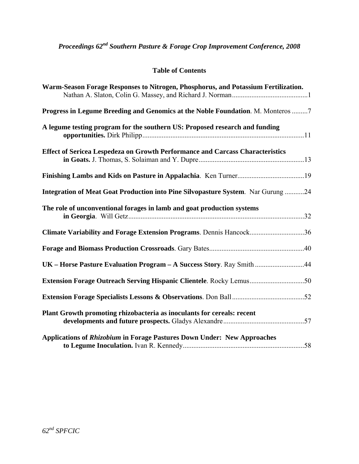# **Table of Contents**

| Warm-Season Forage Responses to Nitrogen, Phosphorus, and Potassium Fertilization. |  |
|------------------------------------------------------------------------------------|--|
| Progress in Legume Breeding and Genomics at the Noble Foundation. M. Monteros 7    |  |
| A legume testing program for the southern US: Proposed research and funding        |  |
| Effect of Sericea Lespedeza on Growth Performance and Carcass Characteristics      |  |
|                                                                                    |  |
| Integration of Meat Goat Production into Pine Silvopasture System. Nar Gurung 24   |  |
| The role of unconventional forages in lamb and goat production systems             |  |
| Climate Variability and Forage Extension Programs. Dennis Hancock36                |  |
|                                                                                    |  |
| UK - Horse Pasture Evaluation Program - A Success Story. Ray Smith44               |  |
|                                                                                    |  |
|                                                                                    |  |
| Plant Growth promoting rhizobacteria as inoculants for cereals: recent             |  |
| Applications of Rhizobium in Forage Pastures Down Under: New Approaches            |  |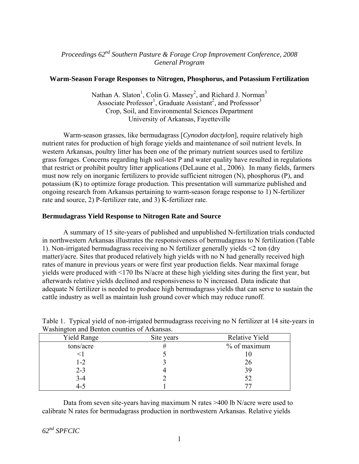# *Proceedings 62nd Southern Pasture & Forage Crop Improvement Conference, 2008 General Program*

### **Warm-Season Forage Responses to Nitrogen, Phosphorus, and Potassium Fertilization**

Nathan A. Slaton<sup>1</sup>, Colin G. Massey<sup>2</sup>, and Richard J. Norman<sup>3</sup> Associate Professor<sup>1</sup>, Graduate Assistant<sup>2</sup>, and Professsor<sup>3</sup> Crop, Soil, and Environmental Sciences Department University of Arkansas, Fayetteville

Warm-season grasses, like bermudagrass [*Cynodon dactylon*], require relatively high nutrient rates for production of high forage yields and maintenance of soil nutrient levels. In western Arkansas, poultry litter has been one of the primary nutrient sources used to fertilize grass forages. Concerns regarding high soil-test P and water quality have resulted in regulations that restrict or prohibit poultry litter applications (DeLaune et al., 2006). In many fields, farmers must now rely on inorganic fertilizers to provide sufficient nitrogen (N), phosphorus (P), and potassium (K) to optimize forage production. This presentation will summarize published and ongoing research from Arkansas pertaining to warm-season forage response to 1) N-fertilizer rate and source, 2) P-fertilizer rate, and 3) K-fertilizer rate.

#### **Bermudagrass Yield Response to Nitrogen Rate and Source**

A summary of 15 site-years of published and unpublished N-fertilization trials conducted in northwestern Arkansas illustrates the responsiveness of bermudagrass to N fertilization (Table 1). Non-irrigated bermudagrass receiving no N fertilizer generally yields <2 ton (dry matter)/acre. Sites that produced relatively high yields with no N had generally received high rates of manure in previous years or were first year production fields. Near maximal forage yields were produced with <170 lbs N/acre at these high yielding sites during the first year, but afterwards relative yields declined and responsiveness to N increased. Data indicate that adequate N fertilizer is needed to produce high bermudagrass yields that can serve to sustain the cattle industry as well as maintain lush ground cover which may reduce runoff.

| <b>Yield Range</b> | Site years | Relative Yield |
|--------------------|------------|----------------|
| tons/acre          | #          | % of maximum   |
|                    |            |                |
| $1 - 2$            |            | 26             |
| $2 - 3$            |            | 39             |
| $3 - 4$            |            | 52             |
| 4-5                |            |                |
|                    |            |                |

Table 1. Typical yield of non-irrigated bermudagrass receiving no N fertilizer at 14 site-years in Washington and Benton counties of Arkansas.

Data from seven site-years having maximum N rates >400 lb N/acre were used to calibrate N rates for bermudagrass production in northwestern Arkansas. Relative yields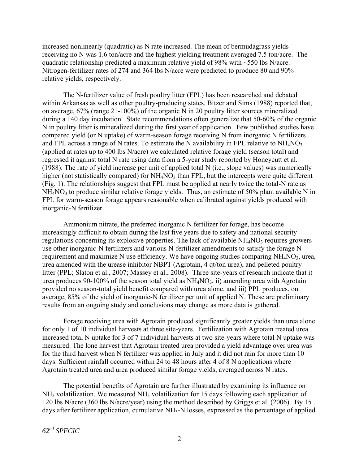increased nonlinearly (quadratic) as N rate increased. The mean of bermudagrass yields receiving no N was 1.6 ton/acre and the highest yielding treatment averaged 7.5 ton/acre. The quadratic relationship predicted a maximum relative yield of 98% with ~550 lbs N/acre. Nitrogen-fertilizer rates of 274 and 364 lbs N/acre were predicted to produce 80 and 90% relative yields, respectively.

The N-fertilizer value of fresh poultry litter (FPL) has been researched and debated within Arkansas as well as other poultry-producing states. Bitzer and Sims (1988) reported that, on average, 67% (range 21-100%) of the organic N in 20 poultry litter sources mineralized during a 140 day incubation. State recommendations often generalize that 50-60% of the organic N in poultry litter is mineralized during the first year of application. Few published studies have compared yield (or N uptake) of warm-season forage receiving N from inorganic N fertilizers and FPL across a range of N rates. To estimate the N availability in FPL relative to  $NH_4NO_3$ (applied at rates up to 400 lbs N/acre) we calculated relative forage yield (season total) and regressed it against total N rate using data from a 5-year study reported by Honeycutt et al. (1988). The rate of yield increase per unit of applied total N (i.e., slope values) was numerically higher (not statistically compared) for  $NH<sub>4</sub>NO<sub>3</sub>$  than FPL, but the intercepts were quite different (Fig. 1). The relationships suggest that FPL must be applied at nearly twice the total-N rate as  $NH<sub>4</sub>NO<sub>3</sub>$  to produce similar relative forage yields. Thus, an estimate of 50% plant available N in FPL for warm-season forage appears reasonable when calibrated against yields produced with inorganic-N fertilizer.

Ammonium nitrate, the preferred inorganic N fertilizer for forage, has become increasingly difficult to obtain during the last five years due to safety and national security regulations concerning its explosive properties. The lack of available  $NH<sub>4</sub>NO<sub>3</sub>$  requires growers use other inorganic-N fertilizers and various N-fertilizer amendments to satisfy the forage N requirement and maximize N use efficiency. We have ongoing studies comparing  $NH<sub>4</sub>NO<sub>3</sub>$ , urea, urea amended with the urease inhibitor NBPT (Agrotain, 4 qt/ton urea), and pelleted poultry litter (PPL; Slaton et al., 2007; Massey et al., 2008). Three site-years of research indicate that i) urea produces 90-100% of the season total yield as  $NH<sub>4</sub>NO<sub>3</sub>$ , ii) amending urea with Agrotain provided no season-total yield benefit compared with urea alone, and iii) PPL produces, on average, 85% of the yield of inorganic-N fertilizer per unit of applied N. These are preliminary results from an ongoing study and conclusions may change as more data is gathered.

Forage receiving urea with Agrotain produced significantly greater yields than urea alone for only 1 of 10 individual harvests at three site-years. Fertilization with Agrotain treated urea increased total N uptake for 3 of 7 individual harvests at two site-years where total N uptake was measured. The lone harvest that Agrotain treated urea provided a yield advantage over urea was for the third harvest when N fertilizer was applied in July and it did not rain for more than 10 days. Sufficient rainfall occurred within 24 to 48 hours after 4 of 8 N applications where Agrotain treated urea and urea produced similar forage yields, averaged across N rates.

The potential benefits of Agrotain are further illustrated by examining its influence on  $NH<sub>3</sub>$  volatilization. We measured NH<sub>3</sub> volatilization for 15 days following each application of 120 lbs N/acre (360 lbs N/acre/year) using the method described by Griggs et al. (2006). By 15 days after fertilizer application, cumulative NH<sub>3</sub>-N losses, expressed as the percentage of applied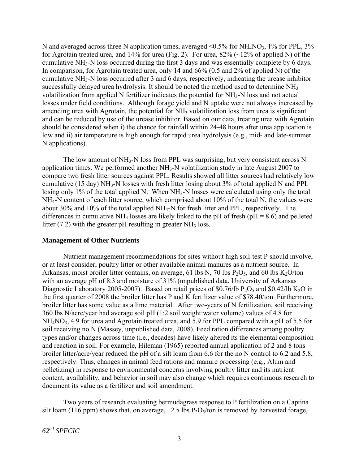N and averaged across three N application times, averaged  $\leq 0.5\%$  for NH<sub>4</sub>NO<sub>3</sub>, 1% for PPL, 3% for Agrotain treated urea, and 14% for urea (Fig. 2). For urea,  $82\%$  ( $\sim$ 12% of applied N) of the cumulative NH3-N loss occurred during the first 3 days and was essentially complete by 6 days. In comparison, for Agrotain treated urea, only 14 and 66% (0.5 and 2% of applied N) of the cumulative NH3-N loss occurred after 3 and 6 days, respectively, indicating the urease inhibitor successfully delayed urea hydrolysis. It should be noted the method used to determine NH<sub>3</sub> volatilization from applied N fertilizer indicates the potential for NH3-N loss and not actual losses under field conditions. Although forage yield and N uptake were not always increased by amending urea with Agrotain, the potential for  $NH_3$  volatilization loss from urea is significant and can be reduced by use of the urease inhibitor. Based on our data, treating urea with Agrotain should be considered when i) the chance for rainfall within 24-48 hours after urea application is low and ii) air temperature is high enough for rapid urea hydrolysis (e.g., mid- and late-summer N applications).

The low amount of  $NH_3-N$  loss from PPL was surprising, but very consistent across N application times. We performed another NH3-N volatilization study in late August 2007 to compare two fresh litter sources against PPL. Results showed all litter sources had relatively low cumulative (15 day) NH3-N losses with fresh litter losing about 3% of total applied N and PPL losing only 1% of the total applied N. When NH<sub>3</sub>-N losses were calculated using only the total NH4-N content of each litter source, which comprised about 10% of the total N, the values were about 30% and 10% of the total applied NH4-N for fresh litter and PPL, respectively. The differences in cumulative NH<sub>3</sub> losses are likely linked to the pH of fresh ( $pH = 8.6$ ) and pelleted litter  $(7.2)$  with the greater pH resulting in greater NH<sub>3</sub> loss.

#### **Management of Other Nutrients**

Nutrient management recommendations for sites without high soil-test P should involve, or at least consider, poultry litter or other available animal manures as a nutrient source. In Arkansas, moist broiler litter contains, on average, 61 lbs N, 70 lbs  $P_2O_5$ , and 60 lbs K<sub>2</sub>O/ton with an average pH of 8.3 and moisture of 31% (unpublished data, University of Arkansas Diagnostic Laboratory 2005-2007). Based on retail prices of \$0.76/lb  $P_2O_5$  and \$0.42/lb K<sub>2</sub>O in the first quarter of 2008 the broiler litter has P and K fertilizer value of \$78.40/ton. Furthermore, broiler litter has some value as a lime material. After two-years of N fertilization, soil receiving 360 lbs N/acre/year had average soil pH (1:2 soil weight:water volume) values of 4.8 for NH<sub>4</sub>NO<sub>3</sub>, 4.9 for urea and Agrotain treated urea, and 5.9 for PPL compared with a pH of 5.5 for soil receiving no N (Massey, unpublished data, 2008). Feed ration differences among poultry types and/or changes across time (i.e., decades) have likely altered its the elemental composition and reaction in soil. For example, Hileman (1965) reported annual application of 2 and 8 tons broiler litter/acre/year reduced the pH of a silt loam from 6.6 for the no N control to 6.2 and 5.8, respectively. Thus, changes in animal feed rations and manure processing (e.g., Alum and pelletizing) in response to environmental concerns involving poultry litter and its nutrient content, availability, and behavior in soil may also change which requires continuous research to document its value as a fertilizer and soil amendment.

Two years of research evaluating bermudagrass response to P fertilization on a Captina silt loam (116 ppm) shows that, on average, 12.5 lbs  $P_2O_5/$ ton is removed by harvested forage,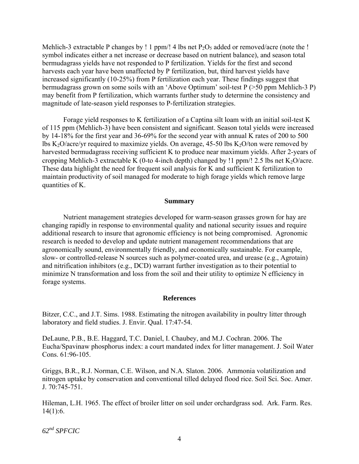Mehlich-3 extractable P changes by ! 1 ppm/! 4 lbs net  $P_2O_5$  added or removed/acre (note the ! symbol indicates either a net increase or decrease based on nutrient balance), and season total bermudagrass yields have not responded to P fertilization. Yields for the first and second harvests each year have been unaffected by P fertilization, but, third harvest yields have increased significantly (10-25%) from P fertilization each year. These findings suggest that bermudagrass grown on some soils with an 'Above Optimum' soil-test P (>50 ppm Mehlich-3 P) may benefit from P fertilization, which warrants further study to determine the consistency and magnitude of late-season yield responses to P-fertilization strategies.

Forage yield responses to K fertilization of a Captina silt loam with an initial soil-test K of 115 ppm (Mehlich-3) have been consistent and significant. Season total yields were increased by 14-18% for the first year and 36-69% for the second year with annual K rates of 200 to 500 lbs K<sub>2</sub>O/acre/yr required to maximize yields. On average, 45-50 lbs K<sub>2</sub>O/ton were removed by harvested bermudagrass receiving sufficient K to produce near maximum yields. After 2-years of cropping Mehlich-3 extractable K (0-to 4-inch depth) changed by !1 ppm/! 2.5 lbs net  $K_2O/(\text{acc})$ . These data highlight the need for frequent soil analysis for K and sufficient K fertilization to maintain productivity of soil managed for moderate to high forage yields which remove large quantities of K.

#### **Summary**

 Nutrient management strategies developed for warm-season grasses grown for hay are changing rapidly in response to environmental quality and national security issues and require additional research to insure that agronomic efficiency is not being compromised. Agronomic research is needed to develop and update nutrient management recommendations that are agronomically sound, environmentally friendly, and economically sustainable. For example, slow- or controlled-release N sources such as polymer-coated urea, and urease (e.g., Agrotain) and nitrification inhibitors (e.g., DCD) warrant further investigation as to their potential to minimize N transformation and loss from the soil and their utility to optimize N efficiency in forage systems.

#### **References**

Bitzer, C.C., and J.T. Sims. 1988. Estimating the nitrogen availability in poultry litter through laboratory and field studies. J. Envir. Qual. 17:47-54.

DeLaune, P.B., B.E. Haggard, T.C. Daniel, I. Chaubey, and M.J. Cochran. 2006. The Eucha/Spavinaw phosphorus index: a court mandated index for litter management. J. Soil Water Cons. 61:96-105.

Griggs, B.R., R.J. Norman, C.E. Wilson, and N.A. Slaton. 2006. Ammonia volatilization and nitrogen uptake by conservation and conventional tilled delayed flood rice. Soil Sci. Soc. Amer. J. 70:745-751.

Hileman, L.H. 1965. The effect of broiler litter on soil under orchardgrass sod. Ark. Farm. Res. 14(1):6.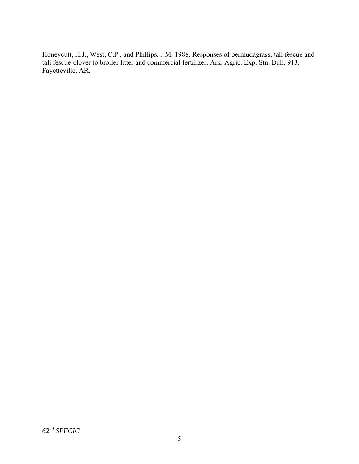Honeycutt, H.J., West, C.P., and Phillips, J.M. 1988. Responses of bermudagrass, tall fescue and tall fescue-clover to broiler litter and commercial fertilizer. Ark. Agric. Exp. Stn. Bull. 913. Fayetteville, AR.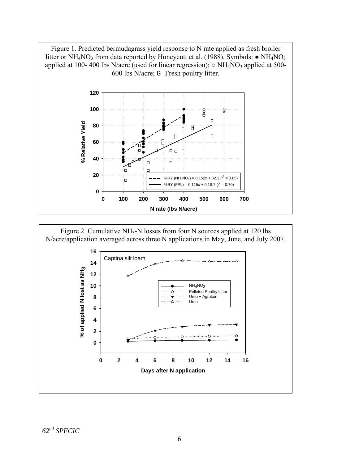

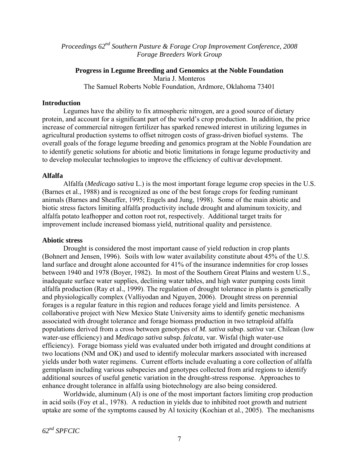*Proceedings 62nd Southern Pasture & Forage Crop Improvement Conference, 2008 Forage Breeders Work Group* 

# **Progress in Legume Breeding and Genomics at the Noble Foundation**

Maria J. Monteros

The Samuel Roberts Noble Foundation, Ardmore, Oklahoma 73401

#### **Introduction**

 Legumes have the ability to fix atmospheric nitrogen, are a good source of dietary protein, and account for a significant part of the world's crop production. In addition, the price increase of commercial nitrogen fertilizer has sparked renewed interest in utilizing legumes in agricultural production systems to offset nitrogen costs of grass-driven biofuel systems. The overall goals of the forage legume breeding and genomics program at the Noble Foundation are to identify genetic solutions for abiotic and biotic limitations in forage legume productivity and to develop molecular technologies to improve the efficiency of cultivar development.

### **Alfalfa**

 Alfalfa (*Medicago sativa* L.) is the most important forage legume crop species in the U.S. (Barnes et al., 1988) and is recognized as one of the best forage crops for feeding ruminant animals (Barnes and Sheaffer, 1995; Engels and Jung, 1998). Some of the main abiotic and biotic stress factors limiting alfalfa productivity include drought and aluminum toxicity, and alfalfa potato leafhopper and cotton root rot, respectively. Additional target traits for improvement include increased biomass yield, nutritional quality and persistence.

## **Abiotic stress**

 Drought is considered the most important cause of yield reduction in crop plants (Bohnert and Jensen, 1996). Soils with low water availability constitute about 45% of the U.S. land surface and drought alone accounted for 41% of the insurance indemnities for crop losses between 1940 and 1978 (Boyer, 1982). In most of the Southern Great Plains and western U.S., inadequate surface water supplies, declining water tables, and high water pumping costs limit alfalfa production (Ray et al., 1999). The regulation of drought tolerance in plants is genetically and physiologically complex (Valliyodan and Nguyen, 2006). Drought stress on perennial forages is a regular feature in this region and reduces forage yield and limits persistence. A collaborative project with New Mexico State University aims to identify genetic mechanisms associated with drought tolerance and forage biomass production in two tetraploid alfalfa populations derived from a cross between genotypes of *M. sativa* subsp. *sativa* var. Chilean (low water-use efficiency) and *Medicago sativa* subsp. *falcata*, var. Wisfal (high water-use efficiency). Forage biomass yield was evaluated under both irrigated and drought conditions at two locations (NM and OK) and used to identify molecular markers associated with increased yields under both water regimens. Current efforts include evaluating a core collection of alfalfa germplasm including various subspecies and genotypes collected from arid regions to identify additional sources of useful genetic variation in the drought-stress response. Approaches to enhance drought tolerance in alfalfa using biotechnology are also being considered.

 Worldwide, aluminum (Al) is one of the most important factors limiting crop production in acid soils (Foy et al., 1978). A reduction in yields due to inhibited root growth and nutrient uptake are some of the symptoms caused by Al toxicity (Kochian et al., 2005). The mechanisms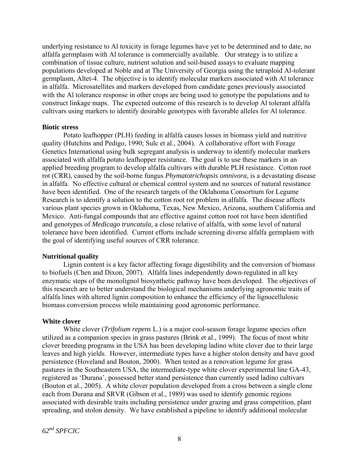underlying resistance to Al toxicity in forage legumes have yet to be determined and to date, no alfalfa germplasm with Al tolerance is commercially available. Our strategy is to utilize a combination of tissue culture, nutrient solution and soil-based assays to evaluate mapping populations developed at Noble and at The University of Georgia using the tetraploid Al-tolerant germplasm, Altet-4. The objective is to identify molecular markers associated with Al tolerance in alfalfa. Microsatellites and markers developed from candidate genes previously associated with the Al tolerance response in other crops are being used to genotype the populations and to construct linkage maps. The expected outcome of this research is to develop Al tolerant alfalfa cultivars using markers to identify desirable genotypes with favorable alleles for Al tolerance.

#### **Biotic stress**

 Potato leafhopper (PLH) feeding in alfalfa causes losses in biomass yield and nutritive quality (Hutchins and Pedigo, 1990; Sulc et al., 2004). A collaborative effort with Forage Genetics International using bulk segregant analysis is underway to identify molecular markers associated with alfalfa potato leafhopper resistance. The goal is to use these markers in an applied breeding program to develop alfalfa cultivars with durable PLH resistance. Cotton root rot (CRR), caused by the soil-borne fungus *Phymatotrichopsis omnivora*, is a devastating disease in alfalfa. No effective cultural or chemical control system and no sources of natural resistance have been identified. One of the research targets of the Oklahoma Consortium for Legume Research is to identify a solution to the cotton root rot problem in alfalfa. The disease affects various plant species grown in Oklahoma, Texas, New Mexico, Arizona, southern California and Mexico. Anti-fungal compounds that are effective against cotton root rot have been identified and genotypes of *Medicago truncatula,* a close relative of alfalfa, with some level of natural tolerance have been identified. Current efforts include screening diverse alfalfa germplasm with the goal of identifying useful sources of CRR tolerance.

#### **Nutritional quality**

 Lignin content is a key factor affecting forage digestibility and the conversion of biomass to biofuels (Chen and Dixon, 2007). Alfalfa lines independently down-regulated in all key enzymatic steps of the monolignol biosynthetic pathway have been developed. The objectives of this research are to better understand the biological mechanisms underlying agronomic traits of alfalfa lines with altered lignin composition to enhance the efficiency of the lignocellulosic biomass conversion process while maintaining good agronomic performance.

#### **White clover**

 White clover (*Trifolium repens* L.) is a major cool-season forage legume species often utilized as a companion species in grass pastures (Brink et al., 1999). The focus of most white clover breeding programs in the USA has been developing ladino white clover due to their large leaves and high yields. However, intermediate types have a higher stolon density and have good persistence (Hoveland and Bouton, 2000). When tested as a renovation legume for grass pastures in the Southeastern USA, the intermediate-type white clover experimental line GA-43, registered as 'Durana', possessed better stand persistence than currently used ladino cultivars (Bouton et al., 2005). A white clover population developed from a cross between a single clone each from Durana and SRVR (Gibson et al., 1989) was used to identify genomic regions associated with desirable traits including persistence under grazing and grass competition, plant spreading, and stolon density. We have established a pipeline to identify additional molecular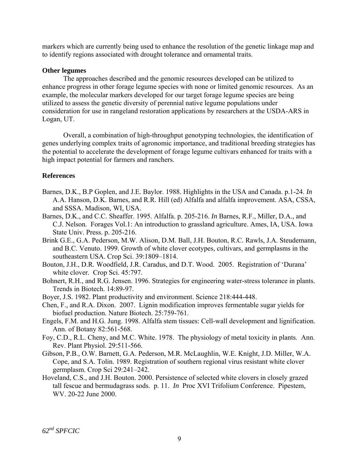markers which are currently being used to enhance the resolution of the genetic linkage map and to identify regions associated with drought tolerance and ornamental traits.

#### **Other legumes**

 The approaches described and the genomic resources developed can be utilized to enhance progress in other forage legume species with none or limited genomic resources. As an example, the molecular markers developed for our target forage legume species are being utilized to assess the genetic diversity of perennial native legume populations under consideration for use in rangeland restoration applications by researchers at the USDA-ARS in Logan, UT.

 Overall, a combination of high-throughput genotyping technologies, the identification of genes underlying complex traits of agronomic importance, and traditional breeding strategies has the potential to accelerate the development of forage legume cultivars enhanced for traits with a high impact potential for farmers and ranchers.

### **References**

- Barnes, D.K., B.P Goplen, and J.E. Baylor. 1988. Highlights in the USA and Canada. p.1-24. *In*  A.A. Hanson, D.K. Barnes, and R.R. Hill (ed) Alfalfa and alfalfa improvement. ASA, CSSA, and SSSA. Madison, WI, USA.
- Barnes, D.K., and C.C. Sheaffer. 1995. Alfalfa. p. 205-216. *In* Barnes, R.F., Miller, D.A., and C.J. Nelson. Forages Vol.1: An introduction to grassland agriculture. Ames, IA, USA. Iowa State Univ. Press. p. 205-216.
- Brink G.E., G.A. Pederson, M.W. Alison, D.M. Ball, J.H. Bouton, R.C. Rawls, J.A. Steudemann, and B.C. Venuto. 1999. Growth of white clover ecotypes, cultivars, and germplasms in the southeastern USA. Crop Sci. 39:1809–1814.
- Bouton, J.H., D.R. Woodfield, J.R. Caradus, and D.T. Wood. 2005. Registration of 'Durana' white clover. Crop Sci. 45:797.
- Bohnert, R.H., and R.G. Jensen. 1996. Strategies for engineering water-stress tolerance in plants. Trends in Biotech. 14:89-97.
- Boyer, J.S. 1982. Plant productivity and environment. Science 218:444-448.
- Chen, F., and R.A. Dixon. 2007. Lignin modification improves fermentable sugar yields for biofuel production. Nature Biotech. 25:759-761.
- Engels, F.M. and H.G. Jung. 1998. Alfalfa stem tissues: Cell-wall development and lignification. Ann. of Botany 82:561-568.
- Foy, C.D., R.L. Cheny, and M.C. White. 1978. The physiology of metal toxicity in plants. Ann. Rev. Plant Physiol. 29:511-566.
- Gibson, P.B., O.W. Barnett, G.A. Pederson, M.R. McLaughlin, W.E. Knight, J.D. Miller, W.A. Cope, and S.A. Tolin. 1989. Registration of southern regional virus resistant white clover germplasm. Crop Sci 29:241–242.
- Hoveland, C.S., and J.H. Bouton. 2000. Persistence of selected white clovers in closely grazed tall fescue and bermudagrass sods. p. 11. *In* Proc XVI Trifolium Conference. Pipestem, WV. 20-22 June 2000.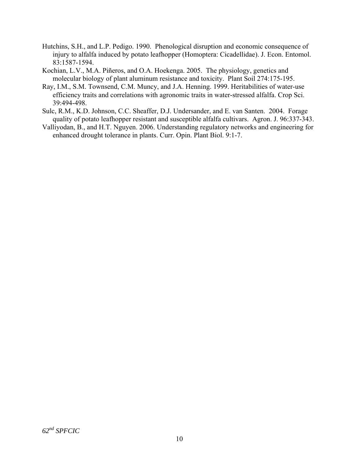- Hutchins, S.H., and L.P. Pedigo. 1990. Phenological disruption and economic consequence of injury to alfalfa induced by potato leafhopper (Homoptera: Cicadellidae). J. Econ. Entomol. 83:1587-1594.
- Kochian, L.V., M.A. Piñeros, and O.A. Hoekenga. 2005. The physiology, genetics and molecular biology of plant aluminum resistance and toxicity. Plant Soil 274:175-195.
- Ray, I.M., S.M. Townsend, C.M. Muncy, and J.A. Henning. 1999. Heritabilities of water-use efficiency traits and correlations with agronomic traits in water-stressed alfalfa. Crop Sci. 39:494-498.
- Sulc, R.M., K.D. Johnson, C.C. Sheaffer, D.J. Undersander, and E. van Santen. 2004. Forage quality of potato leafhopper resistant and susceptible alfalfa cultivars. Agron. J. 96:337-343.
- Valliyodan, B., and H.T. Nguyen. 2006. Understanding regulatory networks and engineering for enhanced drought tolerance in plants. Curr. Opin. Plant Biol. 9:1-7.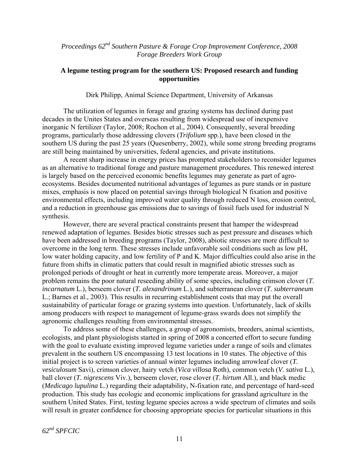*Proceedings 62nd Southern Pasture & Forage Crop Improvement Conference, 2008 Forage Breeders Work Group* 

#### **A legume testing program for the southern US: Proposed research and funding opportunities**

Dirk Philipp, Animal Science Department, University of Arkansas

The utilization of legumes in forage and grazing systems has declined during past decades in the Unites States and overseas resulting from widespread use of inexpensive inorganic N fertilizer (Taylor, 2008; Rochon et al., 2004). Consequently, several breeding programs, particularly those addressing clovers (*Trifolium* spp.), have been closed in the southern US during the past 25 years (Quesenberry, 2002), while some strong breeding programs are still being maintained by universities, federal agencies, and private institutions.

A recent sharp increase in energy prices has prompted stakeholders to reconsider legumes as an alternative to traditional forage and pasture management procedures. This renewed interest is largely based on the perceived economic benefits legumes may generate as part of agroecosystems. Besides documented nutritional advantages of legumes as pure stands or in pasture mixes, emphasis is now placed on potential savings through biological N fixation and positive environmental effects, including improved water quality through reduced N loss, erosion control, and a reduction in greenhouse gas emissions due to savings of fossil fuels used for industrial N synthesis.

However, there are several practical constraints present that hamper the widespread renewed adaptation of legumes. Besides biotic stresses such as pest pressure and diseases which have been addressed in breeding programs (Taylor, 2008), abiotic stresses are more difficult to overcome in the long term. These stresses include unfavorable soil conditions such as low pH, low water holding capacity, and low fertility of P and K. Major difficulties could also arise in the future from shifts in climatic patters that could result in magnified abiotic stresses such as prolonged periods of drought or heat in currently more temperate areas. Moreover, a major problem remains the poor natural reseeding ability of some species, including crimson clover (*T. incarnatum* L.), berseem clover (*T. alexandrinum* L.), and subterranean clover (*T. subterraneum* L.; Barnes et al., 2003). This results in recurring establishment costs that may put the overall sustainability of particular forage or grazing systems into question. Unfortunately, lack of skills among producers with respect to management of legume-grass swards does not simplify the agronomic challenges resulting from environmental stresses.

To address some of these challenges, a group of agronomists, breeders, animal scientists, ecologists, and plant physiologists started in spring of 2008 a concerted effort to secure funding with the goal to evaluate existing improved legume varieties under a range of soils and climates prevalent in the southern US encompassing 13 test locations in 10 states. The objective of this initial project is to screen varieties of annual winter legumes including arrowleaf clover (*T. vesiculosum* Savi), crimson clover, hairy vetch (*Vica villosa* Roth), common vetch (*V. sativa* L.), ball clover (*T. nigrescens* Viv.), berseem clover, rose clover (*T. hirtum* All.), and black medic (*Medicago lupulina* L.) regarding their adaptability, N-fixation rate, and percentage of hard-seed production. This study has ecologic and economic implications for grassland agriculture in the southern United States. First, testing legume species across a wide spectrum of climates and soils will result in greater confidence for choosing appropriate species for particular situations in this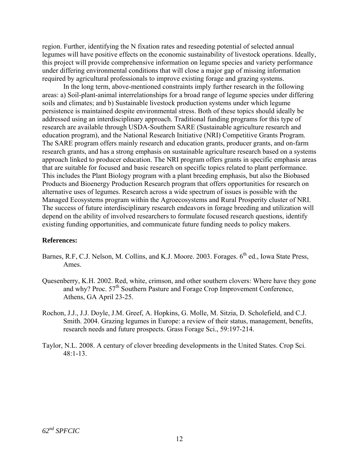region. Further, identifying the N fixation rates and reseeding potential of selected annual legumes will have positive effects on the economic sustainability of livestock operations. Ideally, this project will provide comprehensive information on legume species and variety performance under differing environmental conditions that will close a major gap of missing information required by agricultural professionals to improve existing forage and grazing systems.

In the long term, above-mentioned constraints imply further research in the following areas: a) Soil-plant-animal interrelationships for a broad range of legume species under differing soils and climates; and b) Sustainable livestock production systems under which legume persistence is maintained despite environmental stress. Both of these topics should ideally be addressed using an interdisciplinary approach. Traditional funding programs for this type of research are available through USDA-Southern SARE (Sustainable agriculture research and education program), and the National Research Initiative (NRI) Competitive Grants Program. The SARE program offers mainly research and education grants, producer grants, and on-farm research grants, and has a strong emphasis on sustainable agriculture research based on a systems approach linked to producer education. The NRI program offers grants in specific emphasis areas that are suitable for focused and basic research on specific topics related to plant performance. This includes the Plant Biology program with a plant breeding emphasis, but also the Biobased Products and Bioenergy Production Research program that offers opportunities for research on alternative uses of legumes. Research across a wide spectrum of issues is possible with the Managed Ecosystems program within the Agroecosystems and Rural Prosperity cluster of NRI. The success of future interdisciplinary research endeavors in forage breeding and utilization will depend on the ability of involved researchers to formulate focused research questions, identify existing funding opportunities, and communicate future funding needs to policy makers.

#### **References:**

- Barnes, R.F, C.J. Nelson, M. Collins, and K.J. Moore. 2003. Forages. 6<sup>th</sup> ed., Iowa State Press, Ames.
- Quesenberry, K.H. 2002. Red, white, crimson, and other southern clovers: Where have they gone and why? Proc. 57<sup>th</sup> Southern Pasture and Forage Crop Improvement Conference, Athens, GA April 23-25.
- Rochon, J.J., J.J. Doyle, J.M. Greef, A. Hopkins, G. Molle, M. Sitzia, D. Scholefield, and C.J. Smith. 2004. Grazing legumes in Europe: a review of their status, management, benefits, research needs and future prospects. Grass Forage Sci., 59:197-214.
- Taylor, N.L. 2008. A century of clover breeding developments in the United States. Crop Sci. 48:1-13.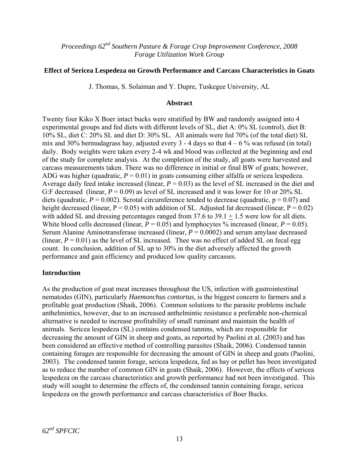*Proceedings 62nd Southern Pasture & Forage Crop Improvement Conference, 2008 Forage Utilization Work Group* 

### **Effect of Sericea Lespedeza on Growth Performance and Carcass Characteristics in Goats**

J. Thomas, S. Solaiman and Y. Dupre, Tuskegee University, AL

#### **Abstract**

Twenty four Kiko X Boer intact bucks were stratified by BW and randomly assigned into 4 experimental groups and fed diets with different levels of SL, diet A: 0% SL (control), diet B: 10% SL, diet C: 20% SL and diet D: 30% SL. All animals were fed 70% (of the total diet) SL mix and 30% bermudagrass hay, adjusted every 3 - 4 days so that  $4 - 6$  % was refused (in total) daily. Body weights were taken every 2-4 wk and blood was collected at the beginning and end of the study for complete analysis. At the completion of the study, all goats were harvested and carcass measurements taken. There was no difference in initial or final BW of goats; however, ADG was higher (quadratic,  $P = 0.01$ ) in goats consuming either alfalfa or sericea lespedeza. Average daily feed intake increased (linear, *P* = 0.03) as the level of SL increased in the diet and G:F decreased (linear,  $P = 0.09$ ) as level of SL increased and it was lower for 10 or 20% SL diets (quadratic,  $P = 0.002$ ). Scrotal circumference tended to decrease (quadratic,  $p = 0.07$ ) and height decreased (linear,  $P = 0.05$ ) with addition of SL. Adjusted fat decreased (linear,  $P = 0.02$ ) with added SL and dressing percentages ranged from  $37.6$  to  $39.1 + 1.5$  were low for all diets. White blood cells decreased (linear,  $P = 0.05$ ) and lymphocytes % increased (linear,  $P = 0.05$ ). Serum Alanine Aminotransferase increased (linear, *P* = 0.0002) and serum amylase decreased (linear,  $P = 0.01$ ) as the level of SL increased. Thee was no effect of added SL on fecal egg count. In conclusion, addition of SL up to 30% in the diet adversely affected the growth performance and gain efficiency and produced low quality carcasses.

#### **Introduction**

As the production of goat meat increases throughout the US, infection with gastrointestinal nematodes (GIN), particularly *Haemonchus contortus*, is the biggest concern to farmers and a profitable goat production (Shaik, 2006). Common solutions to the parasite problems include anthelmintics, however, due to an increased anthelmintic resistance a preferable non-chemical alternative is needed to increase profitability of small ruminant and maintain the health of animals. Sericea lespedeza (SL) contains condensed tannins, which are responsible for decreasing the amount of GIN in sheep and goats, as reported by Paolini et al. (2003) and has been considered an effective method of controlling parasites (Shaik, 2006). Condensed tannin containing forages are responsible for decreasing the amount of GIN in sheep and goats (Paolini, 2003). The condensed tannin forage, sericea lespedeza, fed as hay or pellet has been investigated as to reduce the number of common GIN in goats (Shaik, 2006). However, the effects of sericea lespedeza on the carcass characteristics and growth performance had not been investigated. This study will sought to determine the effects of, the condensed tannin containing forage, sericea lespedeza on the growth performance and carcass characteristics of Boer Bucks.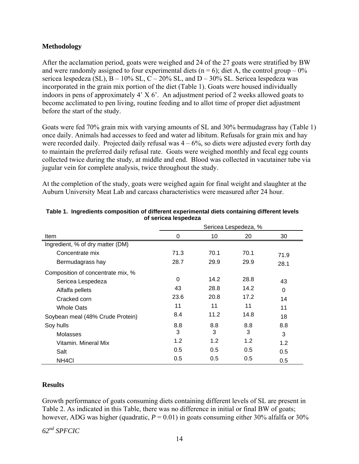### **Methodology**

After the acclamation period, goats were weighed and 24 of the 27 goats were stratified by BW and were randomly assigned to four experimental diets ( $n = 6$ ); diet A, the control group – 0% sericea lespedeza (SL),  $B - 10\%$  SL,  $C - 20\%$  SL, and  $D - 30\%$  SL. Sericea lespedeza was incorporated in the grain mix portion of the diet (Table 1). Goats were housed individually indoors in pens of approximately 4' X 6'. An adjustment period of 2 weeks allowed goats to become acclimated to pen living, routine feeding and to allot time of proper diet adjustment before the start of the study.

Goats were fed 70% grain mix with varying amounts of SL and 30% bermudagrass hay (Table 1) once daily. Animals had accesses to feed and water ad libitum. Refusals for grain mix and hay were recorded daily. Projected daily refusal was  $4 - 6\%$ , so diets were adjusted every forth day to maintain the preferred daily refusal rate. Goats were weighed monthly and fecal egg counts collected twice during the study, at middle and end. Blood was collected in vacutainer tube via jugular vein for complete analysis, twice throughout the study.

At the completion of the study, goats were weighed again for final weight and slaughter at the Auburn University Meat Lab and carcass characteristics were measured after 24 hour.

|                                   | Sericea Lespedeza, % |      |      |      |  |  |  |
|-----------------------------------|----------------------|------|------|------|--|--|--|
| <b>Item</b>                       | 0                    | 10   | 20   | 30   |  |  |  |
| Ingredient, % of dry matter (DM)  |                      |      |      |      |  |  |  |
| Concentrate mix                   | 71.3                 | 70.1 | 70.1 | 71.9 |  |  |  |
| Bermudagrass hay                  | 28.7                 | 29.9 | 29.9 | 28.1 |  |  |  |
| Composition of concentrate mix, % |                      |      |      |      |  |  |  |
| Sericea Lespedeza                 | $\Omega$             | 14.2 | 28.8 | 43   |  |  |  |
| Alfalfa pellets                   | 43                   | 28.8 | 14.2 | 0    |  |  |  |
| Cracked corn                      | 23.6                 | 20.8 | 17.2 | 14   |  |  |  |
| <b>Whole Oats</b>                 | 11                   | 11   | 11   | 11   |  |  |  |
| Soybean meal (48% Crude Protein)  | 8.4                  | 11.2 | 14.8 | 18   |  |  |  |
| Soy hulls                         | 8.8                  | 8.8  | 8.8  | 8.8  |  |  |  |
| Molasses                          | 3                    | 3    | 3    | 3    |  |  |  |
| Vitamin, Mineral Mix              | 1.2                  | 1.2  | 1.2  | 1.2  |  |  |  |
| Salt                              | 0.5                  | 0.5  | 0.5  | 0.5  |  |  |  |
| NH <sub>4</sub> CI                | 0.5                  | 0.5  | 0.5  | 0.5  |  |  |  |

#### **Table 1. Ingredients composition of different experimental diets containing different levels of sericea lespedeza**

## **Results**

Growth performance of goats consuming diets containing different levels of SL are present in Table 2. As indicated in this Table, there was no difference in initial or final BW of goats; however, ADG was higher (quadratic,  $P = 0.01$ ) in goats consuming either 30% alfalfa or 30%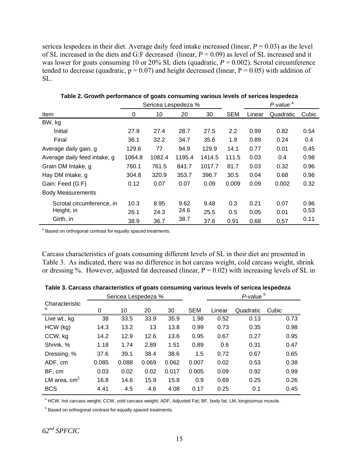sericea lespedeza in their diet. Average daily feed intake increased (linear,  $P = 0.03$ ) as the level of SL increased in the diets and G:F decreased (linear, *P* = 0.09) as level of SL increased and it was lower for goats consuming 10 or 20% SL diets (quadratic,  $P = 0.002$ ). Scrotal circumference tended to decrease (quadratic,  $p = 0.07$ ) and height decreased (linear,  $P = 0.05$ ) with addition of SL.

|                              | Sericea Lespedeza % |        |        |        |            |        | P-value <sup>a</sup> |       |
|------------------------------|---------------------|--------|--------|--------|------------|--------|----------------------|-------|
| Item                         | 0                   | 10     | 20     | 30     | <b>SEM</b> | Linear | Quadratic            | Cubic |
| BW, kg                       |                     |        |        |        |            |        |                      |       |
| Initial                      | 27.9                | 27.4   | 28.7   | 27.5   | 2.2        | 0.99   | 0.82                 | 0.54  |
| Final                        | 36.1                | 32.2   | 34.7   | 35.6   | 1.9        | 0.89   | 0.24                 | 0.4   |
| Average daily gain, g        | 129.6               | 77     | 94.9   | 129.9  | 14.1       | 0.77   | 0.01                 | 0.45  |
| Average daily feed intake, g | 1064.8              | 1082.4 | 1195.4 | 1414.5 | 111.5      | 0.03   | 0.4                  | 0.98  |
| Grain DM Intake, g           | 760.1               | 761.5  | 841.7  | 1017.7 | 81.7       | 0.03   | 0.32                 | 0.96  |
| Hay DM Intake, g             | 304.8               | 320.9  | 353.7  | 396.7  | 30.5       | 0.04   | 0.68                 | 0.96  |
| Gain: Feed (G:F)             | 0.12                | 0.07   | 0.07   | 0.09   | 0.009      | 0.09   | 0.002                | 0.32  |
| <b>Body Measurements</b>     |                     |        |        |        |            |        |                      |       |
| Scrotal circumference, in    | 10.3                | 8.95   | 9.62   | 9.48   | 0.3        | 0.21   | 0.07                 | 0.96  |
| Height, in                   | 26.1                | 24.3   | 24.6   | 25.5   | 0.5        | 0.05   | 0.01                 | 0.53  |
| Girth, in                    | 38.9                | 36.7   | 38.7   | 37.6   | 0.91       | 0.68   | 0.57                 | 0.11  |

**Table 2. Growth performance of goats consuming various levels of sericea lespedeza** 

<sup>a</sup> Based on orthogonal contrast for equally spaced treatments.

Carcass characteristics of goats consuming different levels of SL in their diet are presented in Table 3. As indicated, there was no difference in hot carcass weight, cold carcass weight, shrink or dressing %. However, adjusted fat decreased (linear,  $P = 0.02$ ) with increasing levels of SL in

|                     | Sericea Lespedeza % |       |       |       |            |        | $P$ -value $b$ |       |
|---------------------|---------------------|-------|-------|-------|------------|--------|----------------|-------|
| Characteristic<br>a | 0                   | 10    | 20    | 30    | <b>SEM</b> | Linear | Quadratic      | Cubic |
| Live wt., kg        | 38                  | 33.5  | 33.9  | 35.9  | 1.98       | 0.52   | 0.13           | 0.73  |
| $HCW$ (kg)          | 14.3                | 13.2  | 13    | 13.8  | 0.99       | 0.73   | 0.35           | 0.98  |
| CCW, kg             | 14.2                | 12.9  | 12.6  | 13.6  | 0.95       | 0.67   | 0.27           | 0.95  |
| Shrink, %           | 1.18                | 1.74  | 2.89  | 1.51  | 0.89       | 0.6    | 0.31           | 0.47  |
| Dressing, %         | 37.6                | 39.1  | 38.4  | 38.6  | 1.5        | 0.72   | 0.67           | 0.65  |
| ADF, cm             | 0.085               | 0.088 | 0.069 | 0.062 | 0.007      | 0.02   | 0.53           | 0.38  |
| BF, cm              | 0.03                | 0.02  | 0.02  | 0.017 | 0.005      | 0.09   | 0.92           | 0.99  |
| LM area, $cm2$      | 16.8                | 14.6  | 15.9  | 15.8  | 0.9        | 0.69   | 0.25           | 0.26  |
| <b>BCS</b>          | 4.41                | 4.5   | 4.6   | 4.08  | 0.17       | 0.25   | 0.1            | 0.45  |

**Table 3. Carcass characteristics of goats consuming various levels of sericea lespedeza** 

<sup>a</sup> HCW, hot carcass weight; CCW, cold carcass weight; ADF, Adjusted Fat; BF, body fat; LM, longissimus muscle.

**Based on orthogonal contrast for equally spaced treatments.**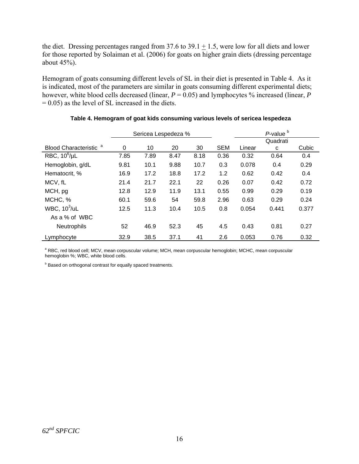the diet. Dressing percentages ranged from 37.6 to 39.1  $\pm$  1.5, were low for all diets and lower for those reported by Solaiman et al. (2006) for goats on higher grain diets (dressing percentage about 45%).

Hemogram of goats consuming different levels of SL in their diet is presented in Table 4. As it is indicated, most of the parameters are similar in goats consuming different experimental diets; however, white blood cells decreased (linear, *P* = 0.05) and lymphocytes % increased (linear, *P*  $= 0.05$ ) as the level of SL increased in the diets.

|                             | Sericea Lespedeza % |      |      |      |            |        | P-value <sup>b</sup> |       |
|-----------------------------|---------------------|------|------|------|------------|--------|----------------------|-------|
|                             |                     |      |      |      |            |        |                      |       |
| <b>Blood Characteristic</b> | 0                   | 10   | 20   | 30   | <b>SEM</b> | Linear | C                    | Cubic |
| RBC, $10^6/\mu L$           | 7.85                | 7.89 | 8.47 | 8.18 | 0.36       | 0.32   | 0.64                 | 0.4   |
| Hemoglobin, g/dL            | 9.81                | 10.1 | 9.88 | 10.7 | 0.3        | 0.078  | 0.4                  | 0.29  |
| Hematocrit, %               | 16.9                | 17.2 | 18.8 | 17.2 | 1.2        | 0.62   | 0.42                 | 0.4   |
| MCV, fL                     | 21.4                | 21.7 | 22.1 | 22   | 0.26       | 0.07   | 0.42                 | 0.72  |
| MCH, pg                     | 12.8                | 12.9 | 11.9 | 13.1 | 0.55       | 0.99   | 0.29                 | 0.19  |
| MCHC, %                     | 60.1                | 59.6 | 54   | 59.8 | 2.96       | 0.63   | 0.29                 | 0.24  |
| WBC, $10^3$ /uL             | 12.5                | 11.3 | 10.4 | 10.5 | 0.8        | 0.054  | 0.441                | 0.377 |
| As a % of WBC               |                     |      |      |      |            |        |                      |       |
| <b>Neutrophils</b>          | 52                  | 46.9 | 52.3 | 45   | 4.5        | 0.43   | 0.81                 | 0.27  |
| Lymphocyte                  | 32.9                | 38.5 | 37.1 | 41   | 2.6        | 0.053  | 0.76                 | 0.32  |

#### **Table 4. Hemogram of goat kids consuming various levels of sericea lespedeza**

<sup>a</sup> RBC, red blood cell; MCV, mean corpuscular volume; MCH, mean corpuscular hemoglobin; MCHC, mean corpuscular hemoglobin %; WBC, white blood cells.

**Based on orthogonal contrast for equally spaced treatments.**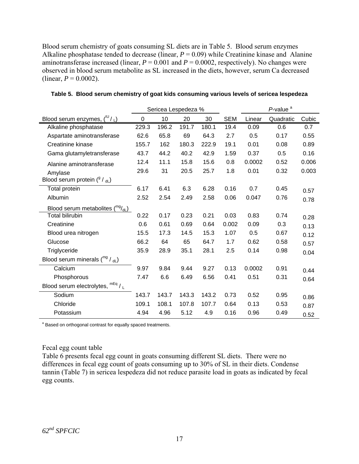Blood serum chemistry of goats consuming SL diets are in Table 5. Blood serum enzymes Alkaline phosphatase tended to decrease (linear,  $P = 0.09$ ) while Creatinine kinase and Alanine aminotransferase increased (linear,  $P = 0.001$  and  $P = 0.0002$ , respectively). No changes were observed in blood serum metabolite as SL increased in the diets, however, serum Ca decreased (linear,  $P = 0.0002$ ).

|                                      | Sericea Lespedeza % |       |       |       |            | P-value <sup>a</sup> |           |       |  |
|--------------------------------------|---------------------|-------|-------|-------|------------|----------------------|-----------|-------|--|
| Blood serum enzymes, $(^{10}/_L)$    | 0                   | 10    | 20    | 30    | <b>SEM</b> | Linear               | Quadratic | Cubic |  |
| Alkaline phosphatase                 | 229.3               | 196.2 | 191.7 | 180.1 | 19.4       | 0.09                 | 0.6       | 0.7   |  |
| Aspartate aminotransferase           | 62.6                | 65.8  | 69    | 64.3  | 2.7        | 0.5                  | 0.17      | 0.55  |  |
| Creatinine kinase                    | 155.7               | 162   | 180.3 | 222.9 | 19.1       | 0.01                 | 0.08      | 0.89  |  |
| Gama glutamyletransferase            | 43.7                | 44.2  | 40.2  | 42.9  | 1.59       | 0.37                 | 0.5       | 0.16  |  |
| Alanine aminotransferase             | 12.4                | 11.1  | 15.8  | 15.6  | 0.8        | 0.0002               | 0.52      | 0.006 |  |
| Amylase                              | 29.6                | 31    | 20.5  | 25.7  | 1.8        | 0.01                 | 0.32      | 0.003 |  |
| Blood serum protein $(^{9} / _{dL})$ |                     |       |       |       |            |                      |           |       |  |
| Total protein                        | 6.17                | 6.41  | 6.3   | 6.28  | 0.16       | 0.7                  | 0.45      | 0.57  |  |
| Albumin                              | 2.52                | 2.54  | 2.49  | 2.58  | 0.06       | 0.047                | 0.76      | 0.78  |  |
| Blood serum metabolites (mg/dL)      |                     |       |       |       |            |                      |           |       |  |
| <b>Total bilirubin</b>               | 0.22                | 0.17  | 0.23  | 0.21  | 0.03       | 0.83                 | 0.74      | 0.28  |  |
| Creatinine                           | 0.6                 | 0.61  | 0.69  | 0.64  | 0.002      | 0.09                 | 0.3       | 0.13  |  |
| Blood urea nitrogen                  | 15.5                | 17.3  | 14.5  | 15.3  | 1.07       | 0.5                  | 0.67      | 0.12  |  |
| Glucose                              | 66.2                | 64    | 65    | 64.7  | 1.7        | 0.62                 | 0.58      | 0.57  |  |
| Triglyceride                         | 35.9                | 28.9  | 35.1  | 28.1  | 2.5        | 0.14                 | 0.98      | 0.04  |  |
| Blood serum minerals $(^{mg}/_{dL})$ |                     |       |       |       |            |                      |           |       |  |
| Calcium                              | 9.97                | 9.84  | 9.44  | 9.27  | 0.13       | 0.0002               | 0.91      | 0.44  |  |
| Phosphorous                          | 7.47                | 6.6   | 6.49  | 6.56  | 0.41       | 0.51                 | 0.31      | 0.64  |  |
| Blood serum electrolytes, mEq / L    |                     |       |       |       |            |                      |           |       |  |
| Sodium                               | 143.7               | 143.7 | 143.3 | 143.2 | 0.73       | 0.52                 | 0.95      | 0.86  |  |
| Chloride                             | 109.1               | 108.1 | 107.8 | 107.7 | 0.64       | 0.13                 | 0.53      | 0.87  |  |
| Potassium                            | 4.94                | 4.96  | 5.12  | 4.9   | 0.16       | 0.96                 | 0.49      | 0.52  |  |

#### **Table 5. Blood serum chemistry of goat kids consuming various levels of sericea lespedeza**

<sup>a</sup> Based on orthogonal contrast for equally spaced treatments.

#### Fecal egg count table

Table 6 presents fecal egg count in goats consuming different SL diets. There were no differences in fecal egg count of goats consuming up to 30% of SL in their diets. Condense tannin (Table 7) in sericea lespedeza did not reduce parasite load in goats as indicated by fecal egg counts.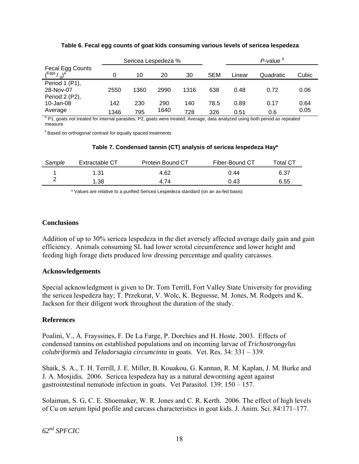|                                 |      |      | Sericea Lespedeza % |      |      |        | P-value <sup>b</sup> |       |
|---------------------------------|------|------|---------------------|------|------|--------|----------------------|-------|
| Fecal Egg Counts<br>/Eggs<br>ΠI |      | 10   | 20                  | 30   | SEM  | Linear | Quadratic            | Cubic |
| Period 1 (P1),                  |      |      |                     |      |      |        |                      |       |
| 28-Nov-07                       | 2550 | 1360 | 2990                | 1316 | 638  | 0.48   | 0.72                 | 0.06  |
| Period 2 (P2),                  |      |      |                     |      |      |        |                      |       |
| 10-Jan-08                       | 142  | 230  | 290                 | 140  | 78.5 | 0.89   | 0.17                 | 0.64  |
| Average                         | 1346 | 795  | 1640                | 728  | 326  | 0.51   | 0.6                  | 0.05  |

#### **Table 6. Fecal egg counts of goat kids consuming various levels of sericea lespedeza**

<sup>a</sup> P1, goats not treated for internal parasites; P2, goats were treated; Average, data analyzed using both period as repeated measure.

**b** Based on orthogonal contrast for equally spaced treatments

| Sample | Extractable CT | <b>Protein Bound CT</b> | Fiber-Bound CT | $\tau$ otal CT |
|--------|----------------|-------------------------|----------------|----------------|
|        | 1.31           | 4.62                    | 0.44           | 6.37           |
|        | 1.38           | 4.74                    | 0.43           | 6.55           |

#### **Table 7. Condensed tannin (CT) analysis of sericea lespedeza Hay\***

\* Values are relative to a purified Sericea Lespedeza standard (on an as-fed basis)

### **Conclusions**

Addition of up to 30% sericea lespedeza in the diet aversely affected average daily gain and gain efficiency. Animals consuming SL had lower scrotal circumference and lower height and feeding high forage diets produced low dressing percentage and quality carcasses.

#### **Acknowledgements**

Special acknowledgment is given to Dr. Tom Terrill, Fort Valley State University for providing the sericea lespedeza hay; T. Przekurat, V. Wolc, K. Beguesse, M. Jones, M. Rodgers and K. Jackson for their diligent work throughout the duration of the study.

#### **References**

Poalini, V., A. Frayssines, F. De La Farge, P. Dorchies and H. Hoste. 2003. Effects of condensed tannins on established populations and on incoming larvae of *Trichostrongylus colubriformis* and *Teladorsagia circumcinta* in goats. Vet. Res. 34: 331 – 339.

Shaik, S. A., T. H. Terrill, J. E. Miller, B. Kouakou, G. Kannan, R. M. Kaplan, J. M. Burke and J. A. Mosjidis. 2006. Sericea lespedeza hay as a natural deworming agent against gastrointestinal nematode infection in goats. Vet Parasitol. 139: 150 – 157.

Solaiman, S. G, C. E. Shoemaker, W. R. Jones and C. R. Kerth. 2006. The effect of high levels of Cu on serum lipid profile and carcass characteristics in goat kids. J. Anim. Sci. 84:171–177.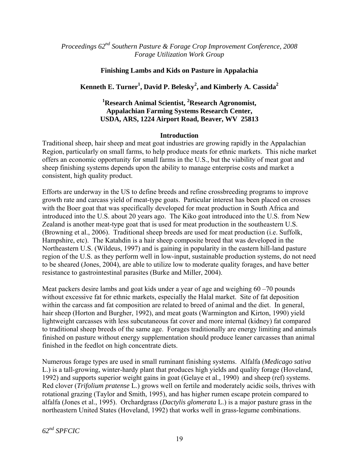*Proceedings 62nd Southern Pasture & Forage Crop Improvement Conference, 2008 Forage Utilization Work Group* 

### **Finishing Lambs and Kids on Pasture in Appalachia**

# **Kenneth E. Turner1 , David P. Belesky<sup>2</sup> , and Kimberly A. Cassida<sup>2</sup>**

## <sup>1</sup> Research Animal Scientist, <sup>2</sup> Research Agronomist, **Appalachian Farming Systems Research Center, USDA, ARS, 1224 Airport Road, Beaver, WV 25813**

#### **Introduction**

Traditional sheep, hair sheep and meat goat industries are growing rapidly in the Appalachian Region, particularly on small farms, to help produce meats for ethnic markets. This niche market offers an economic opportunity for small farms in the U.S., but the viability of meat goat and sheep finishing systems depends upon the ability to manage enterprise costs and market a consistent, high quality product.

Efforts are underway in the US to define breeds and refine crossbreeding programs to improve growth rate and carcass yield of meat-type goats. Particular interest has been placed on crosses with the Boer goat that was specifically developed for meat production in South Africa and introduced into the U.S. about 20 years ago.The Kiko goat introduced into the U.S. from New Zealand is another meat-type goat that is used for meat production in the southeastern U.S. (Browning et al., 2006). Traditional sheep breeds are used for meat production (i.e. Suffolk, Hampshire, etc). The Katahdin is a hair sheep composite breed that was developed in the Northeastern U.S. (Wildeus, 1997) and is gaining in popularity in the eastern hill-land pasture region of the U.S. as they perform well in low-input, sustainable production systems, do not need to be sheared (Jones, 2004), are able to utilize low to moderate quality forages, and have better resistance to gastrointestinal parasites (Burke and Miller, 2004).

Meat packers desire lambs and goat kids under a year of age and weighing 60 – 70 pounds without excessive fat for ethnic markets, especially the Halal market. Site of fat deposition within the carcass and fat composition are related to breed of animal and the diet. In general, hair sheep (Horton and Burgher, 1992), and meat goats (Warmington and Kirton, 1990) yield lightweight carcasses with less subcutaneous fat cover and more internal (kidney) fat compared to traditional sheep breeds of the same age. Forages traditionally are energy limiting and animals finished on pasture without energy supplementation should produce leaner carcasses than animal finished in the feedlot on high concentrate diets.

Numerous forage types are used in small ruminant finishing systems. Alfalfa (*Medicago sativa* L.) is a tall-growing, winter-hardy plant that produces high yields and quality forage (Hoveland, 1992) and supports superior weight gains in goat (Gelaye et al., 1990) and sheep (ref) systems. Red clover (*Trifolium pratense* L.) grows well on fertile and moderately acidic soils, thrives with rotational grazing (Taylor and Smith, 1995), and has higher rumen escape protein compared to alfalfa (Jones et al., 1995). Orchardgrass (*Dactylis glomerata* L.) is a major pasture grass in the northeastern United States (Hoveland, 1992) that works well in grass-legume combinations.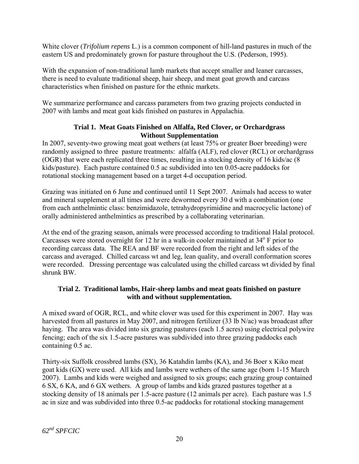White clover (*Trifolium repens* L.) is a common component of hill-land pastures in much of the eastern US and predominately grown for pasture throughout the U.S. (Pederson, 1995).

With the expansion of non-traditional lamb markets that accept smaller and leaner carcasses, there is need to evaluate traditional sheep, hair sheep, and meat goat growth and carcass characteristics when finished on pasture for the ethnic markets.

We summarize performance and carcass parameters from two grazing projects conducted in 2007 with lambs and meat goat kids finished on pastures in Appalachia.

## **Trial 1. Meat Goats Finished on Alfalfa, Red Clover, or Orchardgrass Without Supplementation**

In 2007, seventy-two growing meat goat wethers (at least 75% or greater Boer breeding) were randomly assigned to three pasture treatments: alfalfa (ALF), red clover (RCL) or orchardgrass (OGR) that were each replicated three times, resulting in a stocking density of 16 kids/ac (8 kids/pasture). Each pasture contained 0.5 ac subdivided into ten 0.05-acre paddocks for rotational stocking management based on a target 4-d occupation period.

Grazing was initiated on 6 June and continued until 11 Sept 2007. Animals had access to water and mineral supplement at all times and were dewormed every 30 d with a combination (one from each anthelmintic class: benzimidazole, tetrahydropyrimidine and macrocyclic lactone) of orally administered anthelmintics as prescribed by a collaborating veterinarian.

At the end of the grazing season, animals were processed according to traditional Halal protocol. Carcasses were stored overnight for 12 hr in a walk-in cooler maintained at 34° F prior to recording carcass data. The REA and BF were recorded from the right and left sides of the carcass and averaged. Chilled carcass wt and leg, lean quality, and overall conformation scores were recorded. Dressing percentage was calculated using the chilled carcass wt divided by final shrunk BW.

## **Trial 2. Traditional lambs, Hair-sheep lambs and meat goats finished on pasture with and without supplementation.**

A mixed sward of OGR, RCL, and white clover was used for this experiment in 2007. Hay was harvested from all pastures in May 2007, and nitrogen fertilizer (33 lb N/ac) was broadcast after haying. The area was divided into six grazing pastures (each 1.5 acres) using electrical polywire fencing; each of the six 1.5-acre pastures was subdivided into three grazing paddocks each containing 0.5 ac.

Thirty-six Suffolk crossbred lambs (SX), 36 Katahdin lambs (KA), and 36 Boer x Kiko meat goat kids (GX) were used. All kids and lambs were wethers of the same age (born 1-15 March 2007). Lambs and kids were weighed and assigned to six groups; each grazing group contained 6 SX, 6 KA, and 6 GX wethers. A group of lambs and kids grazed pastures together at a stocking density of 18 animals per 1.5-acre pasture (12 animals per acre). Each pasture was 1.5 ac in size and was subdivided into three 0.5-ac paddocks for rotational stocking management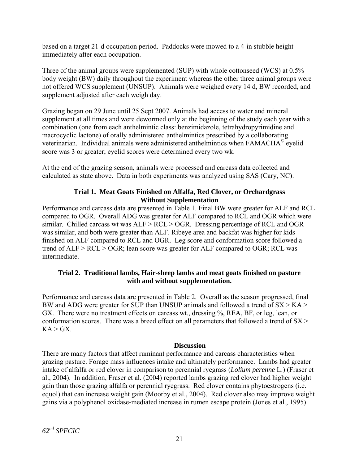based on a target 21-d occupation period. Paddocks were mowed to a 4-in stubble height immediately after each occupation.

Three of the animal groups were supplemented (SUP) with whole cottonseed (WCS) at 0.5% body weight (BW) daily throughout the experiment whereas the other three animal groups were not offered WCS supplement (UNSUP). Animals were weighed every 14 d, BW recorded, and supplement adjusted after each weigh day.

Grazing began on 29 June until 25 Sept 2007. Animals had access to water and mineral supplement at all times and were dewormed only at the beginning of the study each year with a combination (one from each anthelmintic class: benzimidazole, tetrahydropyrimidine and macrocyclic lactone) of orally administered anthelmintics prescribed by a collaborating veterinarian. Individual animals were administered anthelmintics when FAMACHA© eyelid score was 3 or greater; eyelid scores were determined every two wk.

At the end of the grazing season, animals were processed and carcass data collected and calculated as state above. Data in both experiments was analyzed using SAS (Cary, NC).

## **Trial 1. Meat Goats Finished on Alfalfa, Red Clover, or Orchardgrass Without Supplementation**

Performance and carcass data are presented in Table 1. Final BW were greater for ALF and RCL compared to OGR. Overall ADG was greater for ALF compared to RCL and OGR which were similar. Chilled carcass wt was  $ALF > RCL > OGR$ . Dressing percentage of RCL and OGR was similar, and both were greater than ALF. Ribeye area and backfat was higher for kids finished on ALF compared to RCL and OGR. Leg score and conformation score followed a trend of ALF > RCL > OGR; lean score was greater for ALF compared to OGR; RCL was intermediate.

## **Trial 2. Traditional lambs, Hair-sheep lambs and meat goats finished on pasture with and without supplementation.**

Performance and carcass data are presented in Table 2. Overall as the season progressed, final BW and ADG were greater for SUP than UNSUP animals and followed a trend of  $SX > KA >$ GX. There were no treatment effects on carcass wt., dressing %, REA, BF, or leg, lean, or conformation scores. There was a breed effect on all parameters that followed a trend of  $SX >$  $KA > GX$ .

## **Discussion**

There are many factors that affect ruminant performance and carcass characteristics when grazing pasture. Forage mass influences intake and ultimately performance. Lambs had greater intake of alfalfa or red clover in comparison to perennial ryegrass (*Lolium perenne* L.) (Fraser et al., 2004). In addition, Fraser et al. (2004) reported lambs grazing red clover had higher weight gain than those grazing alfalfa or perennial ryegrass. Red clover contains phytoestrogens (i.e. equol) that can increase weight gain (Moorby et al., 2004). Red clover also may improve weight gains via a polyphenol oxidase-mediated increase in rumen escape protein (Jones et al., 1995).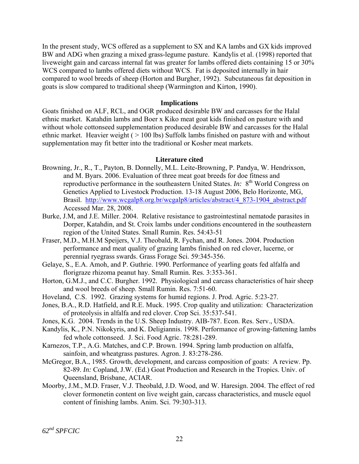In the present study, WCS offered as a supplement to SX and KA lambs and GX kids improved BW and ADG when grazing a mixed grass-legume pasture. Kandylis et al. (1998) reported that liveweight gain and carcass internal fat was greater for lambs offered diets containing 15 or 30% WCS compared to lambs offered diets without WCS. Fat is deposited internally in hair compared to wool breeds of sheep (Horton and Burgher, 1992). Subcutaneous fat deposition in goats is slow compared to traditional sheep (Warmington and Kirton, 1990).

#### **Implications**

Goats finished on ALF, RCL, and OGR produced desirable BW and carcasses for the Halal ethnic market. Katahdin lambs and Boer x Kiko meat goat kids finished on pasture with and without whole cottonseed supplementation produced desirable BW and carcasses for the Halal ethnic market. Heavier weight ( > 100 lbs) Suffolk lambs finished on pasture with and without supplementation may fit better into the traditional or Kosher meat markets.

#### **Literature cited**

- Browning, Jr., R., T., Payton, B. Donnelly, M.L. Leite-Browning, P. Pandya, W. Hendrixson, and M. Byars. 2006. Evaluation of three meat goat breeds for doe fitness and reproductive performance in the southeastern United States. *In*: 8<sup>th</sup> World Congress on Genetics Applied to Livestock Production. 13-18 August 2006, Belo Horizonte, MG, Brasil. [http://www.wcgalp8.org.br/wcgalp8/articles/abstract/4\\_873-1904\\_abstract.pdf](http://www.wcgalp8.org.br/wcgalp8/articles/abstract/4_873-1904_abstract.pdf) Accessed Mar. 28, 2008.
- Burke, J.M, and J.E. Miller. 2004. Relative resistance to gastrointestinal nematode parasites in Dorper, Katahdin, and St. Croix lambs under conditions encountered in the southeastern region of the United States. Small Rumin. Res. 54:43-51
- Fraser, M.D., M.H.M Speijers, V.J. Theobald, R. Fychan, and R. Jones. 2004. Production performance and meat quality of grazing lambs finished on red clover, lucerne, or perennial ryegrass swards. Grass Forage Sci. 59:345-356.
- Gelaye, S., E.A. Amoh, and P. Guthrie. 1990. Performance of yearling goats fed alfalfa and florigraze rhizoma peanut hay. Small Rumin. Res. 3:353-361.
- Horton, G.M.J., and C.C. Burgher. 1992. Physiological and carcass characteristics of hair sheep and wool breeds of sheep. Small Rumin. Res. 7:51-60.
- Hoveland, C.S. 1992. Grazing systems for humid regions. J. Prod. Agric. 5:23-27.
- Jones, B.A., R.D. Hatfield, and R.E. Muck. 1995. Crop quality and utilization: Characterization of proteolysis in alfalfa and red clover. Crop Sci. 35:537-541.
- Jones, K.G. 2004. Trends in the U.S. Sheep Industry. AIB-787. Econ. Res. Serv., USDA.
- Kandylis, K., P.N. Nikokyris, and K. Deligiannis. 1998. Performance of growing-fattening lambs fed whole cottonseed. J. Sci. Food Agric. 78:281-289.
- Karnezos, T.P., A.G. Matches, and C.P. Brown. 1994. Spring lamb production on alfalfa, sainfoin, and wheatgrass pastures. Agron. J. 83:278-286.
- McGregor, B.A., 1985. Growth, development, and carcass composition of goats: A review. Pp. 82-89. *In:* Copland, J.W. (Ed.) Goat Production and Research in the Tropics. Univ. of Queensland, Brisbane, ACIAR.
- Moorby, J.M., M.D. Fraser, V.J. Theobald, J.D. Wood, and W. Haresign. 2004. The effect of red clover formonetin content on live weight gain, carcass characteristics, and muscle equol content of finishing lambs. Anim. Sci. 79:303-313.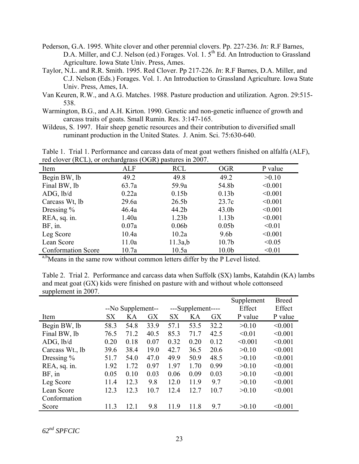- Pederson, G.A. 1995. White clover and other perennial clovers. Pp. 227-236. *In:* R.F Barnes, D.A. Miller, and C.J. Nelson (ed.) Forages. Vol. 1. 5<sup>th</sup> Ed. An Introduction to Grassland Agriculture. Iowa State Univ. Press, Ames.
- Taylor, N.L. and R.R. Smith. 1995. Red Clover. Pp 217-226. *In*: R.F Barnes, D.A. Miller, and C.J. Nelson (Eds.) Forages. Vol. 1. An Introduction to Grassland Agriculture. Iowa State Univ. Press, Ames, IA.
- Van Keuren, R.W., and A.G. Matches. 1988. Pasture production and utilization. Agron. 29:515- 538.
- Warmington, B.G., and A.H. Kirton. 1990. Genetic and non-genetic influence of growth and carcass traits of goats. Small Rumin. Res. 3:147-165.
- Wildeus, S. 1997. Hair sheep genetic resources and their contribution to diversified small ruminant production in the United States. J. Anim. Sci. 75:630-640.

Table 1. Trial 1. Performance and carcass data of meat goat wethers finished on alfalfa (ALF), red clover (RCL), or orchardgrass (OGR) pastures in 2007.

| ALF   | <b>RCL</b>        | <b>OGR</b>        | P value |
|-------|-------------------|-------------------|---------|
| 49.2  | 49.8              | 49.2              | >0.10   |
| 63.7a | 59.9a             | 54.8b             | < 0.001 |
| 0.22a | 0.15 <sub>b</sub> | 0.13 <sub>b</sub> | < 0.001 |
| 29.6a | 26.5 <sub>b</sub> | 23.7c             | < 0.001 |
| 46.4a | 44.2b             | 43.0 <sub>b</sub> | < 0.001 |
| 1.40a | 1.23 <sub>b</sub> | 1.13 <sub>b</sub> | < 0.001 |
| 0.07a | 0.06 <sub>b</sub> | 0.05 <sub>b</sub> | < 0.01  |
| 10.4a | 10.2a             | 9.6 <sub>b</sub>  | < 0.001 |
| 11.0a | 11.3a,b           | 10.7 <sub>b</sub> | < 0.05  |
| 10.7a | 10.5a             | 10.0 <sub>b</sub> | < 0.01  |
|       |                   |                   |         |

<sup>a,b</sup>Means in the same row without common letters differ by the P Level listed.

Table 2. Trial 2. Performance and carcass data when Suffolk (SX) lambs, Katahdin (KA) lambs and meat goat (GX) kids were finished on pasture with and without whole cottonseed supplement in 2007.

|                 |                   |      |           |           |                   |           | Supplement | <b>Breed</b> |
|-----------------|-------------------|------|-----------|-----------|-------------------|-----------|------------|--------------|
|                 | --No Supplement-- |      |           |           | ---Supplement---- |           | Effect     | Effect       |
| Item            | <b>SX</b>         | KA   | <b>GX</b> | <b>SX</b> | KA                | <b>GX</b> | P value    | P value      |
| Begin BW, lb    | 58.3              | 54.8 | 33.9      | 57.1      | 53.5              | 32.2      | >0.10      | < 0.001      |
| Final BW, lb    | 76.5              | 71.2 | 40.5      | 85.3      | 71.7              | 42.5      | < 0.01     | < 0.001      |
| ADG, lb/d       | 0.20              | 0.18 | 0.07      | 0.32      | 0.20              | 0.12      | < 0.001    | < 0.001      |
| Carcass Wt., lb | 39.6              | 38.4 | 19.0      | 42.7      | 36.5              | 20.6      | >0.10      | < 0.001      |
| Dressing $\%$   | 51.7              | 54.0 | 47.0      | 49.9      | 50.9              | 48.5      | >0.10      | < 0.001      |
| REA, sq. in.    | 1.92              | 1.72 | 0.97      | 1.97      | 1.70              | 0.99      | >0.10      | < 0.001      |
| $BF$ , in       | 0.05              | 0.10 | 0.03      | 0.06      | 0.09              | 0.03      | >0.10      | < 0.001      |
| Leg Score       | 11.4              | 12.3 | 9.8       | 12.0      | 11.9              | 9.7       | >0.10      | < 0.001      |
| Lean Score      | 12.3              | 12.3 | 10.7      | 12.4      | 12.7              | 10.7      | >0.10      | < 0.001      |
| Conformation    |                   |      |           |           |                   |           |            |              |
| Score           | 11.3              | 12.1 | 9.8       | 11.9      | 11.8              | 9.7       | >0.10      | < 0.001      |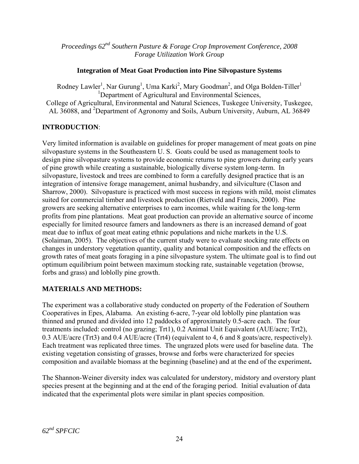*Proceedings 62nd Southern Pasture & Forage Crop Improvement Conference, 2008 Forage Utilization Work Group* 

## **Integration of Meat Goat Production into Pine Silvopasture Systems**

Rodney Lawler<sup>1</sup>, Nar Gurung<sup>1</sup>, Uma Karki<sup>2</sup>, Mary Goodman<sup>2</sup>, and Olga Bolden-Tiller<sup>1</sup> <sup>1</sup>Department of Agricultural and Environmental Sciences, College of Agricultural, Environmental and Natural Sciences, Tuskegee University, Tuskegee, AL 36088, and <sup>2</sup>Department of Agronomy and Soils, Auburn University, Auburn, AL 36849

# **INTRODUCTION**:

Very limited information is available on guidelines for proper management of meat goats on pine silvopasture systems in the Southeastern U. S. Goats could be used as management tools to design pine silvopasture systems to provide economic returns to pine growers during early years of pine growth while creating a sustainable, biologically diverse system long-term. In silvopasture, livestock and trees are combined to form a carefully designed practice that is an integration of intensive forage management, animal husbandry, and silviculture (Clason and Sharrow, 2000). Silvopasture is practiced with most success in regions with mild, moist climates suited for commercial timber and livestock production (Rietveld and Francis, 2000). Pine growers are seeking alternative enterprises to earn incomes, while waiting for the long-term profits from pine plantations. Meat goat production can provide an alternative source of income especially for limited resource famers and landowners as there is an increased demand of goat meat due to influx of goat meat eating ethnic populations and niche markets in the U.S. (Solaiman, 2005). The objectives of the current study were to evaluate stocking rate effects on changes in understory vegetation quantity, quality and botanical composition and the effects on growth rates of meat goats foraging in a pine silvopasture system. The ultimate goal is to find out optimum equilibrium point between maximum stocking rate, sustainable vegetation (browse, forbs and grass) and loblolly pine growth.

# **MATERIALS AND METHODS:**

The experiment was a collaborative study conducted on property of the Federation of Southern Cooperatives in Epes, Alabama. An existing 6-acre, 7-year old loblolly pine plantation was thinned and pruned and divided into 12 paddocks of approximately 0.5-acre each. The four treatments included: control (no grazing; Trt1), 0.2 Animal Unit Equivalent (AUE/acre; Trt2), 0.3 AUE/acre (Trt3) and 0.4 AUE/acre (Trt4) (equivalent to 4, 6 and 8 goats/acre, respectively). Each treatment was replicated three times. The ungrazed plots were used for baseline data. The existing vegetation consisting of grasses, browse and forbs were characterized for species composition and available biomass at the beginning (baseline) and at the end of the experiment**.** 

The Shannon-Weiner diversity index was calculated for understory, midstory and overstory plant species present at the beginning and at the end of the foraging period. Initial evaluation of data indicated that the experimental plots were similar in plant species composition.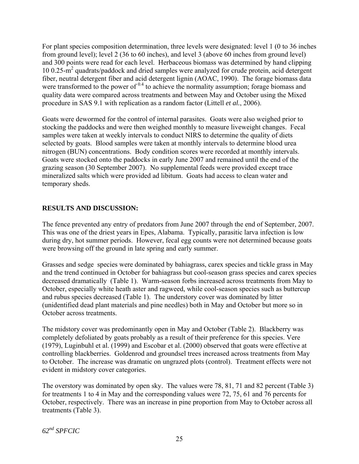For plant species composition determination, three levels were designated: level 1 (0 to 36 inches from ground level); level 2 (36 to 60 inches), and level 3 (above 60 inches from ground level) and 300 points were read for each level. Herbaceous biomass was determined by hand clipping 10 0.25-m<sup>2</sup> quadrats/paddock and dried samples were analyzed for crude protein, acid detergent fiber, neutral detergent fiber and acid detergent lignin (AOAC, 1990). The forage biomass data were transformed to the power of  $0.4$  to achieve the normality assumption; forage biomass and quality data were compared across treatments and between May and October using the Mixed procedure in SAS 9.1 with replication as a random factor (Littell *et al.*, 2006).

Goats were dewormed for the control of internal parasites. Goats were also weighed prior to stocking the paddocks and were then weighed monthly to measure liveweight changes. Fecal samples were taken at weekly intervals to conduct NIRS to determine the quality of diets selected by goats. Blood samples were taken at monthly intervals to determine blood urea nitrogen (BUN) concentrations. Body condition scores were recorded at monthly intervals. Goats were stocked onto the paddocks in early June 2007 and remained until the end of the grazing season (30 September 2007). No supplemental feeds were provided except trace mineralized salts which were provided ad libitum. Goats had access to clean water and temporary sheds.

## **RESULTS AND DISCUSSION:**

The fence prevented any entry of predators from June 2007 through the end of September, 2007. This was one of the driest years in Epes, Alabama. Typically, parasitic larva infection is low during dry, hot summer periods. However, fecal egg counts were not determined because goats were browsing off the ground in late spring and early summer.

Grasses and sedge species were dominated by bahiagrass, carex species and tickle grass in May and the trend continued in October for bahiagrass but cool-season grass species and carex species decreased dramatically (Table 1). Warm-season forbs increased across treatments from May to October, especially white heath aster and ragweed, while cool-season species such as buttercup and rubus species decreased (Table 1). The understory cover was dominated by litter (unidentified dead plant materials and pine needles) both in May and October but more so in October across treatments.

The midstory cover was predominantly open in May and October (Table 2). Blackberry was completely defoliated by goats probably as a result of their preference for this species. Vere (1979), Luginbuhl et al. (1999) and Escobar et al. (2000) observed that goats were effective at controlling blackberries. Goldenrod and groundsel trees increased across treatments from May to October. The increase was dramatic on ungrazed plots (control). Treatment effects were not evident in midstory cover categories.

The overstory was dominated by open sky. The values were 78, 81, 71 and 82 percent (Table 3) for treatments 1 to 4 in May and the corresponding values were 72, 75, 61 and 76 percents for October, respectively. There was an increase in pine proportion from May to October across all treatments (Table 3).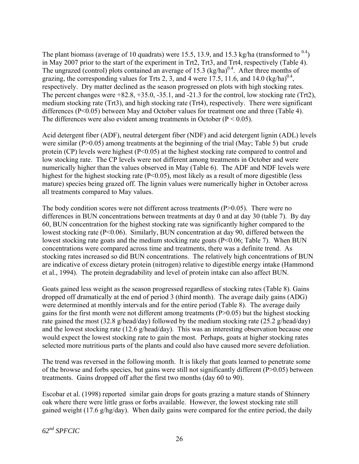The plant biomass (average of 10 quadrats) were 15.5, 13.9, and 15.3 kg/ha (transformed to  $^{0.4}$ ) in May 2007 prior to the start of the experiment in Trt2, Trt3, and Trt4, respectively (Table 4). The ungrazed (control) plots contained an average of 15.3  $\left(\frac{kg}{ha}\right)^{0.4}$ . After three months of grazing, the corresponding values for Trts 2, 3, and 4 were 17.5, 11.6, and 14.0  $\left(\frac{kg}{ha}\right)^{0.4}$ , respectively. Dry matter declined as the season progressed on plots with high stocking rates. The percent changes were +82.8, +35.0, -35.1, and -21.3 for the control, low stocking rate (Trt2), medium stocking rate (Trt3), and high stocking rate (Trt4), respectively. There were significant differences (P<0.05) between May and October values for treatment one and three (Table 4). The differences were also evident among treatments in October ( $P < 0.05$ ).

Acid detergent fiber (ADF), neutral detergent fiber (NDF) and acid detergent lignin (ADL) levels were similar (P>0.05) among treatments at the beginning of the trial (May; Table 5) but crude protein  $(CP)$  levels were highest  $(P<0.05)$  at the highest stocking rate compared to control and low stocking rate. The CP levels were not different among treatments in October and were numerically higher than the values observed in May (Table 6). The ADF and NDF levels were highest for the highest stocking rate (P<0.05), most likely as a result of more digestible (less mature) species being grazed off. The lignin values were numerically higher in October across all treatments compared to May values.

The body condition scores were not different across treatments  $(P>0.05)$ . There were no differences in BUN concentrations between treatments at day 0 and at day 30 (table 7). By day 60, BUN concentration for the highest stocking rate was significantly higher compared to the lowest stocking rate (P<0.06). Similarly, BUN concentration at day 90, differed between the lowest stocking rate goats and the medium stocking rate goats (P<0.06; Table 7). When BUN concentrations were compared across time and treatments, there was a definite trend. As stocking rates increased so did BUN concentrations. The relatively high concentrations of BUN are indicative of excess dietary protein (nitrogen) relative to digestible energy intake (Hammond et al., 1994). The protein degradability and level of protein intake can also affect BUN.

Goats gained less weight as the season progressed regardless of stocking rates (Table 8). Gains dropped off dramatically at the end of period 3 (third month). The average daily gains (ADG) were determined at monthly intervals and for the entire period (Table 8). The average daily gains for the first month were not different among treatments (P>0.05) but the highest stocking rate gained the most (32.8 g/head/day) followed by the medium stocking rate (25.2 g/head/day) and the lowest stocking rate (12.6 g/head/day). This was an interesting observation because one would expect the lowest stocking rate to gain the most. Perhaps, goats at higher stocking rates selected more nutritious parts of the plants and could also have caused more severe defoliation.

The trend was reversed in the following month. It is likely that goats learned to penetrate some of the browse and forbs species, but gains were still not significantly different (P>0.05) between treatments. Gains dropped off after the first two months (day 60 to 90).

Escobar et al. (1998) reported similar gain drops for goats grazing a mature stands of Shinnery oak where there were little grass or forbs available. However, the lowest stocking rate still gained weight (17.6 g/hg/day). When daily gains were compared for the entire period, the daily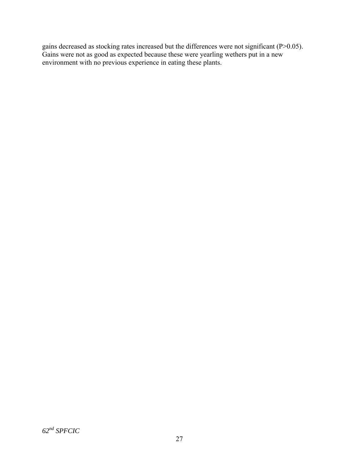gains decreased as stocking rates increased but the differences were not significant (P>0.05). Gains were not as good as expected because these were yearling wethers put in a new environment with no previous experience in eating these plants.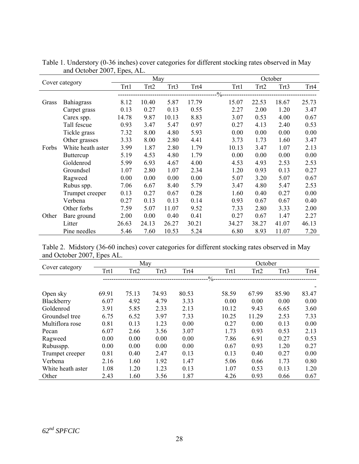|       | Cover category    |       | May   |       |       |        | October |       |       |  |
|-------|-------------------|-------|-------|-------|-------|--------|---------|-------|-------|--|
|       |                   | Trt1  | Trt2  | Trt3  | Trt4  | Trt1   | Trt2    | Trt3  | Trt4  |  |
|       |                   |       |       |       |       | $\%$ - |         |       |       |  |
| Grass | Bahiagrass        | 8.12  | 10.40 | 5.87  | 17.79 | 15.07  | 22.53   | 18.67 | 25.73 |  |
|       | Carpet grass      | 0.13  | 0.27  | 0.13  | 0.55  | 2.27   | 2.00    | 1.20  | 3.47  |  |
|       | Carex spp.        | 14.78 | 9.87  | 10.13 | 8.83  | 3.07   | 0.53    | 4.00  | 0.67  |  |
|       | Tall fescue       | 0.93  | 3.47  | 5.47  | 0.97  | 0.27   | 4.13    | 2.40  | 0.53  |  |
|       | Tickle grass      | 7.32  | 8.00  | 4.80  | 5.93  | 0.00   | 0.00    | 0.00  | 0.00  |  |
|       | Other grasses     | 3.33  | 8.00  | 2.80  | 4.41  | 3.73   | 1.73    | 1.60  | 3.47  |  |
| Forbs | White heath aster | 3.99  | 1.87  | 2.80  | 1.79  | 10.13  | 3.47    | 1.07  | 2.13  |  |
|       | <b>Buttercup</b>  | 5.19  | 4.53  | 4.80  | 1.79  | 0.00   | 0.00    | 0.00  | 0.00  |  |
|       | Goldenrod         | 5.99  | 6.93  | 4.67  | 4.00  | 4.53   | 4.93    | 2.53  | 2.53  |  |
|       | Groundsel         | 1.07  | 2.80  | 1.07  | 2.34  | 1.20   | 0.93    | 0.13  | 0.27  |  |
|       | Ragweed           | 0.00  | 0.00  | 0.00  | 0.00  | 5.07   | 3.20    | 5.07  | 0.67  |  |
|       | Rubus spp.        | 7.06  | 6.67  | 8.40  | 5.79  | 3.47   | 4.80    | 5.47  | 2.53  |  |
|       | Trumpet creeper   | 0.13  | 0.27  | 0.67  | 0.28  | 1.60   | 0.40    | 0.27  | 0.00  |  |
|       | Verbena           | 0.27  | 0.13  | 0.13  | 0.14  | 0.93   | 0.67    | 0.67  | 0.40  |  |
|       | Other forbs       | 7.59  | 5.07  | 11.07 | 9.52  | 7.33   | 2.80    | 3.33  | 2.00  |  |
| Other | Bare ground       | 2.00  | 0.00  | 0.40  | 0.41  | 0.27   | 0.67    | 1.47  | 2.27  |  |
|       | Litter            | 26.63 | 24.13 | 26.27 | 30.21 | 34.27  | 38.27   | 41.07 | 46.13 |  |
|       | Pine needles      | 5.46  | 7.60  | 10.53 | 5.24  | 6.80   | 8.93    | 11.07 | 7.20  |  |

Table 1. Understory (0-36 inches) cover categories for different stocking rates observed in May and October 2007, Epes, AL.

Table 2. Midstory (36-60 inches) cover categories for different stocking rates observed in May and October 2007, Epes AL.

|                   | May   |       |       |       | October        |       |       |       |
|-------------------|-------|-------|-------|-------|----------------|-------|-------|-------|
| Cover category    | Trt1  | Trt2  | Trt3  | Trt4  | Trt1           | Trt2  | Trt3  | Trt4  |
|                   |       |       |       |       | $-\frac{0}{0}$ |       |       |       |
|                   |       |       |       |       |                |       |       |       |
| Open sky          | 69.91 | 75.13 | 74.93 | 80.53 | 58.59          | 67.99 | 85.90 | 83.47 |
| Blackberry        | 6.07  | 4.92  | 4.79  | 3.33  | 0.00           | 0.00  | 0.00  | 0.00  |
| Goldenrod         | 3.91  | 5.85  | 2.33  | 2.13  | 10.12          | 9.43  | 6.65  | 3.60  |
| Groundsel tree    | 6.75  | 6.52  | 3.97  | 7.33  | 10.25          | 11.29 | 2.53  | 7.33  |
| Multiflora rose   | 0.81  | 0.13  | 1.23  | 0.00  | 0.27           | 0.00  | 0.13  | 0.00  |
| Pecan             | 6.07  | 2.66  | 3.56  | 3.07  | 1.73           | 0.93  | 0.53  | 2.13  |
| Ragweed           | 0.00  | 0.00  | 0.00  | 0.00  | 7.86           | 6.91  | 0.27  | 0.53  |
| Rubusspp.         | 0.00  | 0.00  | 0.00  | 0.00  | 0.67           | 0.93  | 1.20  | 0.27  |
| Trumpet creeper   | 0.81  | 0.40  | 2.47  | 0.13  | 0.13           | 0.40  | 0.27  | 0.00  |
| Verbena           | 2.16  | 1.60  | 1.92  | 1.47  | 5.06           | 0.66  | 1.73  | 0.80  |
| White heath aster | 1.08  | 1.20  | 1.23  | 0.13  | 1.07           | 0.53  | 0.13  | 1.20  |
| Other             | 2.43  | 1.60  | 3.56  | 1.87  | 4.26           | 0.93  | 0.66  | 0.67  |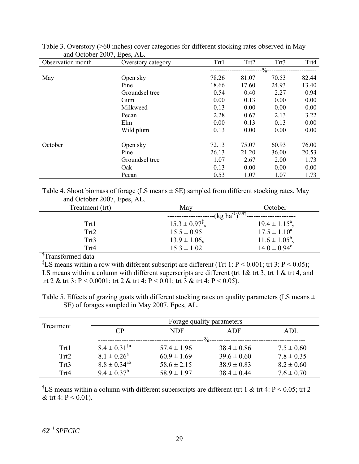| Observation month | Overstory category | Trt1  | Trt2  | Trt3               | Trt4  |
|-------------------|--------------------|-------|-------|--------------------|-------|
|                   |                    |       |       | $-\frac{9}{6}$ --- |       |
| May               | Open sky           | 78.26 | 81.07 | 70.53              | 82.44 |
|                   | Pine               | 18.66 | 17.60 | 24.93              | 13.40 |
|                   | Groundsel tree     | 0.54  | 0.40  | 2.27               | 0.94  |
|                   | Gum                | 0.00  | 0.13  | 0.00               | 0.00  |
|                   | Milkweed           | 0.13  | 0.00  | 0.00               | 0.00  |
|                   | Pecan              | 2.28  | 0.67  | 2.13               | 3.22  |
|                   | Elm                | 0.00  | 0.13  | 0.13               | 0.00  |
|                   | Wild plum          | 0.13  | 0.00  | 0.00               | 0.00  |
| October           | Open sky           | 72.13 | 75.07 | 60.93              | 76.00 |
|                   | Pine               | 26.13 | 21.20 | 36.00              | 20.53 |
|                   | Groundsel tree     | 1.07  | 2.67  | 2.00               | 1.73  |
|                   | Oak                | 0.13  | 0.00  | 0.00               | 0.00  |
|                   | Pecan              | 0.53  | 1.07  | 1.07               | 1.73  |

Table 3. Overstory (>60 inches) cover categories for different stocking rates observed in May and October 2007, Epes, AL.

Table 4. Shoot biomass of forage (LS means  $\pm$  SE) sampled from different stocking rates, May and October 2007, Epes, AL.

| Treatment (trt) | May                            | October                              |
|-----------------|--------------------------------|--------------------------------------|
|                 |                                | $-(\text{kg ha}^{-1})^{0.4\tau}$ --- |
| Trt1            | $15.3 \pm 0.97^{\ddagger}_{x}$ | $19.4 \pm 1.15^a$ <sub>y</sub>       |
| Trt2            | $15.5 \pm 0.95$                | $17.5 \pm 1.10^a$                    |
| Trt3            | $13.9 \pm 1.06_x$              | $11.6 \pm 1.05^{\circ}$ <sub>y</sub> |
| Trt4            | $15.3 \pm 1.02$                | $14.0 \pm 0.94$ <sup>c</sup>         |
| $\mathcal{L}$   |                                |                                      |

† Transformed data

<sup>‡</sup>LS means within a row with different subscript are different (Trt 1: P < 0.001; trt 3: P < 0.05); LS means within a column with different superscripts are different (trt  $1\&$  trt  $3$ , trt  $1\&$  trt  $4$ , and trt 2 & trt 3: P < 0.0001; trt 2 & trt 4: P < 0.01; trt 3 & trt 4: P < 0.05).

Table 5. Effects of grazing goats with different stocking rates on quality parameters (LS means  $\pm$ SE) of forages sampled in May 2007, Epes, AL.

|           |                            | Forage quality parameters |                 |                |  |  |  |  |
|-----------|----------------------------|---------------------------|-----------------|----------------|--|--|--|--|
| Treatment | $\mathsf{CP}$              | NDF                       |                 | ADL            |  |  |  |  |
|           |                            |                           | $\frac{0}{0}$   |                |  |  |  |  |
| Trt1      | $8.4 \pm 0.31^{\text{ta}}$ | $57.4 \pm 1.96$           | $38.4 \pm 0.86$ | $7.5 \pm 0.60$ |  |  |  |  |
| Trt2      | $8.1 \pm 0.26^a$           | $60.9 \pm 1.69$           | $39.6 \pm 0.60$ | $7.8 \pm 0.35$ |  |  |  |  |
| Trt3      | $8.8 \pm 0.34^{ab}$        | $58.6 \pm 2.15$           | $38.9 \pm 0.83$ | $8.2 \pm 0.60$ |  |  |  |  |
| Trt4      | $9.4 \pm 0.37^b$           | $58.9 \pm 1.97$           | $38.4 \pm 0.44$ | $7.6 \pm 0.70$ |  |  |  |  |

<sup>†</sup>LS means within a column with different superscripts are different (trt 1 & trt 4: P < 0.05; trt 2 & trt 4:  $P < 0.01$ ).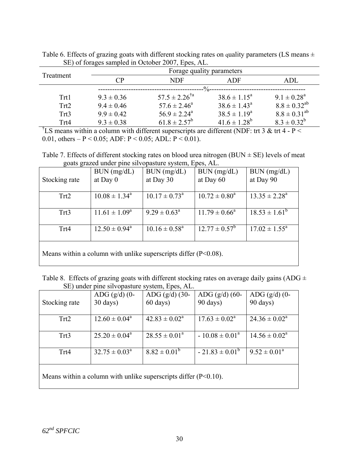|           |                | Forage quality parameters   |                         |                     |  |  |  |  |
|-----------|----------------|-----------------------------|-------------------------|---------------------|--|--|--|--|
| Treatment | $\cap$ P       | NDF                         |                         | ADL                 |  |  |  |  |
|           |                |                             | $- \frac{0}{0}$         |                     |  |  |  |  |
| Trt1      | $9.3 \pm 0.36$ | $57.5 \pm 2.26^{\text{ta}}$ | $38.6 \pm 1.15^{\circ}$ | $9.1 \pm 0.28^a$    |  |  |  |  |
| Trt2      | $9.4 \pm 0.46$ | $57.6 \pm 2.46^a$           | $38.6 \pm 1.43^{\circ}$ | $8.8 \pm 0.32^{ab}$ |  |  |  |  |
| Trt3      | $9.9 \pm 0.42$ | $56.9 \pm 2.24^{\circ}$     | $38.5 \pm 1.19^a$       | $8.8 \pm 0.31^{ab}$ |  |  |  |  |
| Trt4      | $9.3 \pm 0.38$ | $61.8 \pm 2.57^b$           | $41.6 \pm 1.28^b$       | $8.3 \pm 0.32^b$    |  |  |  |  |

Table 6. Effects of grazing goats with different stocking rates on quality parameters (LS means  $\pm$ SE) of forages sampled in October 2007, Epes, AL.

<sup>†</sup>LS means within a column with different superscripts are different (NDF: trt 3 & trt 4 - P < 0.01, others – P < 0.05; ADF: P < 0.05; ADL: P < 0.01).

Table 7. Effects of different stocking rates on blood urea nitrogen (BUN  $\pm$  SE) levels of meat goats grazed under pine silvopasture system, Epes, AL.

|                                                                    | BUN (mg/dL)              | BUN (mg/dL)                 | BUN (mg/dL)              | BUN (mg/dL)                 |  |  |
|--------------------------------------------------------------------|--------------------------|-----------------------------|--------------------------|-----------------------------|--|--|
| Stocking rate                                                      | at Day $0$               | at Day 30                   | at Day 60                | at Day 90                   |  |  |
|                                                                    |                          |                             |                          |                             |  |  |
| Trt2                                                               | $10.08 \pm 1.34^{\circ}$ | $10.17 \pm 0.73^{\circ}$    | $10.72 \pm 0.80^a$       | $13.35 \pm 2.28^{\text{a}}$ |  |  |
|                                                                    |                          |                             |                          |                             |  |  |
| Trt3                                                               | $11.61 \pm 1.09^a$       | $9.29 \pm 0.63^{\circ}$     | $11.79 \pm 0.66^{\circ}$ | $18.53 \pm 1.61^b$          |  |  |
|                                                                    |                          |                             |                          |                             |  |  |
| Trt4                                                               | $12.50 \pm 0.94^{\circ}$ | $10.16 \pm 0.58^{\text{a}}$ | $12.77 \pm 0.57^{\circ}$ | $17.02 \pm 1.55^{\circ}$    |  |  |
|                                                                    |                          |                             |                          |                             |  |  |
|                                                                    |                          |                             |                          |                             |  |  |
| Means within a column with unlike superscripts differ $(P<0.08)$ . |                          |                             |                          |                             |  |  |

Table 8. Effects of grazing goats with different stocking rates on average daily gains (ADG  $\pm$ SE) under pine silvopasture system, Epes, AL.

| Stocking rate | $ADG$ (g/d) (0-<br>$30 \text{ days}$ | $ADG (g/d) (30-$<br>$60 \text{ days}$ | ADG $(g/d)$ (60-<br>90 days) | ADG $(g/d)$ (0-<br>90 days) |
|---------------|--------------------------------------|---------------------------------------|------------------------------|-----------------------------|
| Trt2          | $12.60 \pm 0.04^{\circ}$             | $42.83 \pm 0.02^{\circ}$              | $17.63 \pm 0.02^{\text{a}}$  | $24.36 \pm 0.02^a$          |
| Trt3          | $25.20 \pm 0.04^{\circ}$             | $28.55 \pm 0.01^a$                    | $-10.08 \pm 0.01^a$          | $14.56 \pm 0.02^{\text{a}}$ |
| Trt4          | $32.75 \pm 0.03^{\circ}$             | $8.82 \pm 0.01^{\circ}$               | $-21.83 \pm 0.01^{\circ}$    | $9.52 \pm 0.01^a$           |
|               |                                      |                                       |                              |                             |

Means within a column with unlike superscripts differ (P<0.10).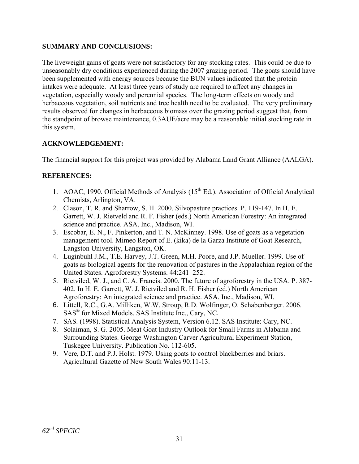## **SUMMARY AND CONCLUSIONS:**

The liveweight gains of goats were not satisfactory for any stocking rates. This could be due to unseasonably dry conditions experienced during the 2007 grazing period. The goats should have been supplemented with energy sources because the BUN values indicated that the protein intakes were adequate. At least three years of study are required to affect any changes in vegetation, especially woody and perennial species. The long-term effects on woody and herbaceous vegetation, soil nutrients and tree health need to be evaluated. The very preliminary results observed for changes in herbaceous biomass over the grazing period suggest that, from the standpoint of browse maintenance, 0.3AUE/acre may be a reasonable initial stocking rate in this system.

## **ACKNOWLEDGEMENT:**

The financial support for this project was provided by Alabama Land Grant Alliance (AALGA).

### **REFERENCES:**

- 1. AOAC, 1990. Official Methods of Analysis  $(15<sup>th</sup> Ed.)$ . Association of Official Analytical Chemists, Arlington, VA.
- 2. Clason, T. R. and Sharrow, S. H. 2000. Silvopasture practices. P. 119-147. In H. E. Garrett, W. J. Rietveld and R. F. Fisher (eds.) North American Forestry: An integrated science and practice. ASA, Inc., Madison, WI.
- 3. Escobar, E. N., F. Pinkerton, and T. N. McKinney. 1998. Use of goats as a vegetation management tool. Mimeo Report of E. (kika) de la Garza Institute of Goat Research, Langston University, Langston, OK.
- 4. Luginbuhl J.M., T.E. Harvey, J.T. Green, M.H. Poore, and J.P. Mueller. 1999. Use of goats as biological agents for the renovation of pastures in the Appalachian region of the United States. Agroforestry Systems. 44:241–252.
- 5. Rietviled, W. J., and C. A. Francis. 2000. The future of agroforestry in the USA. P. 387- 402. In H. E. Garrett, W. J. Rietviled and R. H. Fisher (ed.) North American Agroforestry: An integrated science and practice. ASA, Inc., Madison, WI.
- 6. Littell, R.C., G.A. Milliken, W.W. Stroup, R.D. Wolfinger, O. Schabenberger. 2006. SAS® for Mixed Models. SAS Institute Inc., Cary, NC.
- 7. SAS. (1998). Statistical Analysis System, Version 6.12. SAS Institute: Cary, NC.
- 8. Solaiman, S. G. 2005. Meat Goat Industry Outlook for Small Farms in Alabama and Surrounding States. George Washington Carver Agricultural Experiment Station, Tuskegee University. Publication No. 112-605.
- 9. Vere, D.T. and P.J. Holst. 1979. Using goats to control blackberries and briars. Agricultural Gazette of New South Wales 90:11-13.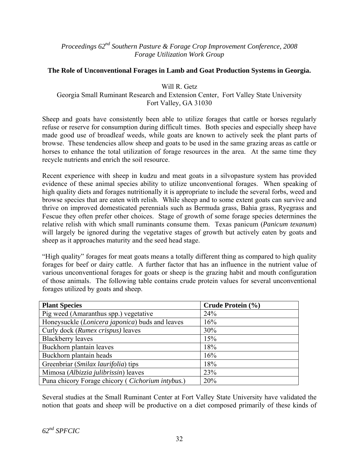*Proceedings 62nd Southern Pasture & Forage Crop Improvement Conference, 2008 Forage Utilization Work Group* 

### **The Role of Unconventional Forages in Lamb and Goat Production Systems in Georgia.**

Will R. Getz Georgia Small Ruminant Research and Extension Center, Fort Valley State University Fort Valley, GA 31030

Sheep and goats have consistently been able to utilize forages that cattle or horses regularly refuse or reserve for consumption during difficult times. Both species and especially sheep have made good use of broadleaf weeds, while goats are known to actively seek the plant parts of browse. These tendencies allow sheep and goats to be used in the same grazing areas as cattle or horses to enhance the total utilization of forage resources in the area. At the same time they recycle nutrients and enrich the soil resource.

Recent experience with sheep in kudzu and meat goats in a silvopasture system has provided evidence of these animal species ability to utilize unconventional forages. When speaking of high quality diets and forages nutritionally it is appropriate to include the several forbs, weed and browse species that are eaten with relish. While sheep and to some extent goats can survive and thrive on improved domesticated perennials such as Bermuda grass, Bahia grass, Ryegrass and Fescue they often prefer other choices. Stage of growth of some forage species determines the relative relish with which small ruminants consume them. Texas panicum (*Panicum texanum*) will largely be ignored during the vegetative stages of growth but actively eaten by goats and sheep as it approaches maturity and the seed head stage.

"High quality" forages for meat goats means a totally different thing as compared to high quality forages for beef or dairy cattle. A further factor that has an influence in the nutrient value of various unconventional forages for goats or sheep is the grazing habit and mouth configuration of those animals. The following table contains crude protein values for several unconventional forages utilized by goats and sheep.

| <b>Plant Species</b>                                      | Crude Protein (%) |
|-----------------------------------------------------------|-------------------|
| Pig weed (Amaranthus spp.) vegetative                     | 24%               |
| Honeysuckle (Lonicera japonica) buds and leaves           | 16%               |
| Curly dock (Rumex crispus) leaves                         | 30%               |
| <b>Blackberry leaves</b>                                  | 15%               |
| Buckhorn plantain leaves                                  | 18%               |
| Buckhorn plantain heads                                   | 16%               |
| Greenbriar (Smilax laurifolia) tips                       | 18%               |
| Mimosa (Albizzia julibrissin) leaves                      | 23%               |
| Puna chicory Forage chicory ( <i>Cichorium intybus.</i> ) | 20%               |

Several studies at the Small Ruminant Center at Fort Valley State University have validated the notion that goats and sheep will be productive on a diet composed primarily of these kinds of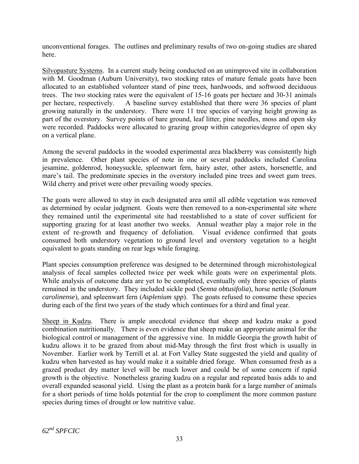unconventional forages. The outlines and preliminary results of two on-going studies are shared here.

Silvopasture Systems. In a current study being conducted on an unimproved site in collaboration with M. Goodman (Auburn University), two stocking rates of mature female goats have been allocated to an established volunteer stand of pine trees, hardwoods, and softwood deciduous trees. The two stocking rates were the equivalent of 15-16 goats per hectare and 30-31 animals per hectare, respectively. A baseline survey established that there were 36 species of plant growing naturally in the understory. There were 11 tree species of varying height growing as part of the overstory. Survey points of bare ground, leaf litter, pine needles, moss and open sky were recorded. Paddocks were allocated to grazing group within categories/degree of open sky on a vertical plane.

Among the several paddocks in the wooded experimental area blackberry was consistently high in prevalence. Other plant species of note in one or several paddocks included Carolina jesamine, goldenrod, honeysuckle, spleenwart fern, hairy aster, other asters, horsenettle, and mare's tail. The predominate species in the overstory included pine trees and sweet gum trees. Wild cherry and privet were other prevailing woody species.

The goats were allowed to stay in each designated area until all edible vegetation was removed as determined by ocular judgment. Goats were then removed to a non-experimental site where they remained until the experimental site had reestablished to a state of cover sufficient for supporting grazing for at least another two weeks. Annual weather play a major role in the extent of re-growth and frequency of defoliation. Visual evidence confirmed that goats consumed both understory vegetation to ground level and overstory vegetation to a height equivalent to goats standing on rear legs while foraging.

Plant species consumption preference was designed to be determined through microhistological analysis of fecal samples collected twice per week while goats were on experimental plots. While analysis of outcome data are yet to be completed, eventually only three species of plants remained in the understory. They included sickle pod (*Senna obtusifolia*), horse nettle (*Solanum carolinense*), and spleenwart fern (*Asplenium spp*). The goats refused to consume these species during each of the first two years of the study which continues for a third and final year.

Sheep in Kudzu. There is ample anecdotal evidence that sheep and kudzu make a good combination nutritionally. There is even evidence that sheep make an appropriate animal for the biological control or management of the aggressive vine. In middle Georgia the growth habit of kudzu allows it to be grazed from about mid-May through the first frost which is usually in November. Earlier work by Terrill et al. at Fort Valley State suggested the yield and quality of kudzu when harvested as hay would make it a suitable dried forage. When consumed fresh as a grazed product dry matter level will be much lower and could be of some concern if rapid growth is the objective. Nonetheless grazing kudzu on a regular and repeated basis adds to and overall expanded seasonal yield. Using the plant as a protein bank for a large number of animals for a short periods of time holds potential for the crop to compliment the more common pasture species during times of drought or low nutritive value.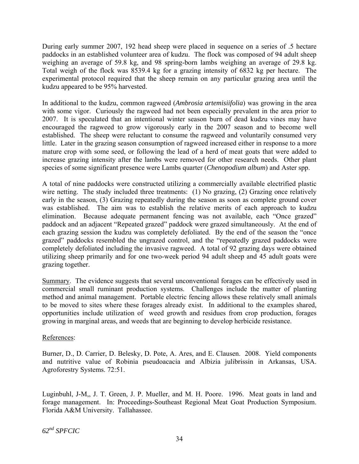During early summer 2007, 192 head sheep were placed in sequence on a series of .5 hectare paddocks in an established volunteer area of kudzu. The flock was composed of 94 adult sheep weighing an average of 59.8 kg, and 98 spring-born lambs weighing an average of 29.8 kg. Total weigh of the flock was 8539.4 kg for a grazing intensity of 6832 kg per hectare. The experimental protocol required that the sheep remain on any particular grazing area until the kudzu appeared to be 95% harvested.

In additional to the kudzu, common ragweed (*Ambrosia artemisiifolia*) was growing in the area with some vigor. Curiously the ragweed had not been especially prevalent in the area prior to 2007. It is speculated that an intentional winter season burn of dead kudzu vines may have encouraged the ragweed to grow vigorously early in the 2007 season and to become well established. The sheep were reluctant to consume the ragweed and voluntarily consumed very little. Later in the grazing season consumption of ragweed increased either in response to a more mature crop with some seed, or following the lead of a herd of meat goats that were added to increase grazing intensity after the lambs were removed for other research needs. Other plant species of some significant presence were Lambs quarter (*Chenopodium album*) and Aster spp.

A total of nine paddocks were constructed utilizing a commercially available electrified plastic wire netting. The study included three treatments: (1) No grazing, (2) Grazing once relatively early in the season, (3) Grazing repeatedly during the season as soon as complete ground cover was established. The aim was to establish the relative merits of each approach to kudzu elimination. Because adequate permanent fencing was not available, each "Once grazed" paddock and an adjacent "Repeated grazed" paddock were grazed simultaneously. At the end of each grazing session the kudzu was completely defoliated. By the end of the season the "once grazed" paddocks resembled the ungrazed control, and the "repeatedly grazed paddocks were completely defoliated including the invasive ragweed. A total of 92 grazing days were obtained utilizing sheep primarily and for one two-week period 94 adult sheep and 45 adult goats were grazing together.

Summary. The evidence suggests that several unconventional forages can be effectively used in commercial small ruminant production systems. Challenges include the matter of planting method and animal management. Portable electric fencing allows these relatively small animals to be moved to sites where these forages already exist. In additional to the examples shared, opportunities include utilization of weed growth and residues from crop production, forages growing in marginal areas, and weeds that are beginning to develop herbicide resistance.

## References:

Burner, D., D. Carrier, D. Belesky, D. Pote, A. Ares, and E. Clausen. 2008. Yield components and nutritive value of Robinia pseudoacacia and Albizia julibrissin in Arkansas, USA. Agroforestry Systems. 72:51.

Luginbuhl, J-M,, J. T. Green, J. P. Mueller, and M. H. Poore. 1996. Meat goats in land and forage management. In: Proceedings-Southeast Regional Meat Goat Production Symposium. Florida A&M University. Tallahassee.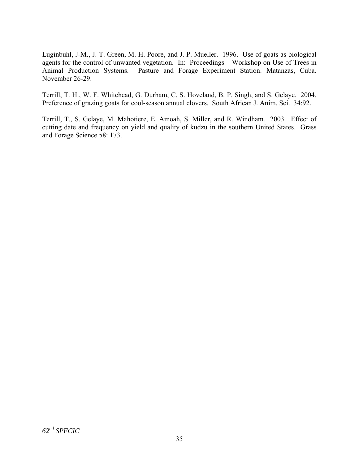Luginbuhl, J-M., J. T. Green, M. H. Poore, and J. P. Mueller. 1996. Use of goats as biological agents for the control of unwanted vegetation. In: Proceedings – Workshop on Use of Trees in Animal Production Systems. Pasture and Forage Experiment Station. Matanzas, Cuba. November 26-29.

Terrill, T. H., W. F. Whitehead, G. Durham, C. S. Hoveland, B. P. Singh, and S. Gelaye. 2004. Preference of grazing goats for cool-season annual clovers. South African J. Anim. Sci. 34:92.

Terrill, T., S. Gelaye, M. Mahotiere, E. Amoah, S. Miller, and R. Windham. 2003. Effect of cutting date and frequency on yield and quality of kudzu in the southern United States. Grass and Forage Science 58: 173.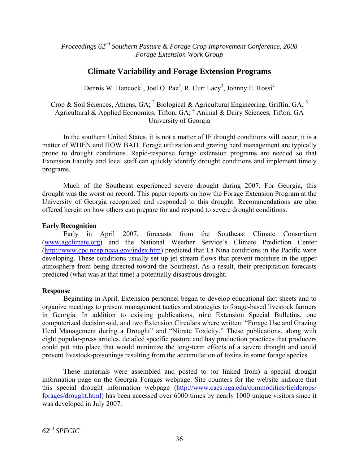*Proceedings 62nd Southern Pasture & Forage Crop Improvement Conference, 2008 Forage Extension Work Group* 

# **Climate Variability and Forage Extension Programs**

Dennis W. Hancock<sup>1</sup>, Joel O. Paz<sup>2</sup>, R. Curt Lacy<sup>3</sup>, Johnny E. Rossi<sup>4</sup>

Crop & Soil Sciences, Athens, GA;  $^2$  Biological & Agricultural Engineering, Griffin, GA;  $^3$ Agricultural & Applied Economics, Tifton, GA; <sup>4</sup> Animal & Dairy Sciences, Tifton, GA University of Georgia

In the southern United States, it is not a matter of IF drought conditions will occur; it is a matter of WHEN and HOW BAD. Forage utilization and grazing herd management are typically prone to drought conditions. Rapid-response forage extension programs are needed so that Extension Faculty and local staff can quickly identify drought conditions and implement timely programs.

Much of the Southeast experienced severe drought during 2007. For Georgia, this drought was the worst on record. This paper reports on how the Forage Extension Program at the University of Georgia recognized and responded to this drought. Recommendations are also offered herein on how others can prepare for and respond to severe drought conditions.

### **Early Recognition**

Early in April 2007, forecasts from the Southeast Climate Consortium ([www.agclimate.org\)](http://www.agclimate.org/) and the National Weather Service's Climate Prediction Center (<http://www.cpc.ncep.noaa.gov/index.htm>) predicted that La Nina conditions in the Pacific were developing. These conditions usually set up jet stream flows that prevent moisture in the upper atmosphere from being directed toward the Southeast. As a result, their precipitation forecasts predicted (what was at that time) a potentially disastrous drought.

#### **Response**

Beginning in April, Extension personnel began to develop educational fact sheets and to organize meetings to present management tactics and strategies to forage-based livestock farmers in Georgia. In addition to existing publications, nine Extension Special Bulletins, one computerized decision-aid, and two Extension Circulars where written: "Forage Use and Grazing Herd Management during a Drought" and "Nitrate Toxicity." These publications, along with eight popular-press articles, detailed specific pasture and hay production practices that producers could put into place that would minimize the long-term effects of a severe drought and could prevent livestock-poisonings resulting from the accumulation of toxins in some forage species.

These materials were assembled and posted to (or linked from) a special drought information page on the Georgia Forages webpage. Site counters for the website indicate that this special drought information webpage [\(http://www.caes.uga.edu/commodities/fieldcrops/](http://www.caes.uga.edu/commodities/fieldcrops/%20forages/drought.html)  [forages/drought.html\)](http://www.caes.uga.edu/commodities/fieldcrops/%20forages/drought.html) has been accessed over 6000 times by nearly 1000 unique visitors since it was developed in July 2007.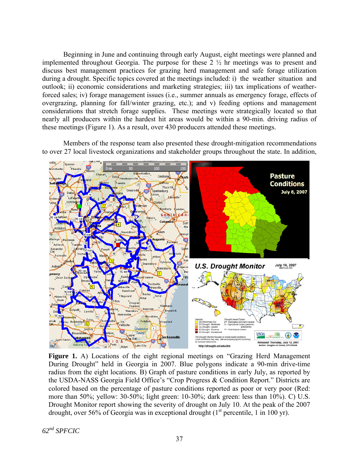Beginning in June and continuing through early August, eight meetings were planned and implemented throughout Georgia. The purpose for these 2 ½ hr meetings was to present and discuss best management practices for grazing herd management and safe forage utilization during a drought. Specific topics covered at the meetings included: i) the weather situation and outlook; ii) economic considerations and marketing strategies; iii) tax implications of weatherforced sales; iv) forage management issues (i.e., summer annuals as emergency forage, effects of overgrazing, planning for fall/winter grazing, etc.); and v) feeding options and management considerations that stretch forage supplies. These meetings were strategically located so that nearly all producers within the hardest hit areas would be within a 90-min. driving radius of these meetings (Figure 1). As a result, over 430 producers attended these meetings.

Members of the response team also presented these drought-mitigation recommendations to over 27 local livestock organizations and stakeholder groups throughout the state. In addition,



Figure 1. A) Locations of the eight regional meetings on "Grazing Herd Management" During Drought" held in Georgia in 2007. Blue polygons indicate a 90-min drive-time radius from the eight locations. B) Graph of pasture conditions in early July, as reported by the USDA-NASS Georgia Field Office's "Crop Progress & Condition Report." Districts are colored based on the percentage of pasture conditions reported as poor or very poor (Red: more than 50%; yellow: 30-50%; light green: 10-30%; dark green: less than 10%). C) U.S. Drought Monitor report showing the severity of drought on July 10. At the peak of the 2007 drought, over 56% of Georgia was in exceptional drought  $(1<sup>st</sup>$  percentile, 1 in 100 yr).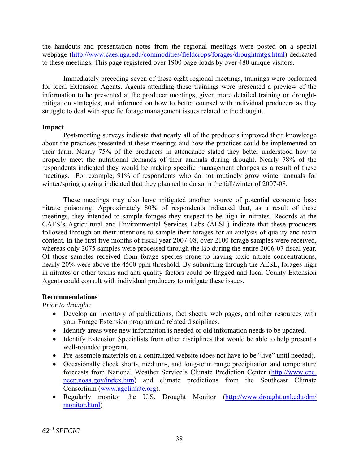the handouts and presentation notes from the regional meetings were posted on a special webpage ([http://www.caes.uga.edu/commodities/fieldcrops/forages/droughtmtgs.html\)](http://www.caes.uga.edu/commodities/fieldcrops/forages/droughtmtgs.html) dedicated to these meetings. This page registered over 1900 page-loads by over 480 unique visitors.

Immediately preceding seven of these eight regional meetings, trainings were performed for local Extension Agents. Agents attending these trainings were presented a preview of the information to be presented at the producer meetings, given more detailed training on droughtmitigation strategies, and informed on how to better counsel with individual producers as they struggle to deal with specific forage management issues related to the drought.

### **Impact**

Post-meeting surveys indicate that nearly all of the producers improved their knowledge about the practices presented at these meetings and how the practices could be implemented on their farm. Nearly 75% of the producers in attendance stated they better understood how to properly meet the nutritional demands of their animals during drought. Nearly 78% of the respondents indicated they would be making specific management changes as a result of these meetings. For example, 91% of respondents who do not routinely grow winter annuals for winter/spring grazing indicated that they planned to do so in the fall/winter of 2007-08.

These meetings may also have mitigated another source of potential economic loss: nitrate poisoning. Approximately 80% of respondents indicated that, as a result of these meetings, they intended to sample forages they suspect to be high in nitrates. Records at the CAES's Agricultural and Environmental Services Labs (AESL) indicate that these producers followed through on their intentions to sample their forages for an analysis of quality and toxin content. In the first five months of fiscal year 2007-08, over 2100 forage samples were received, whereas only 2075 samples were processed through the lab during the entire 2006-07 fiscal year. Of those samples received from forage species prone to having toxic nitrate concentrations, nearly 20% were above the 4500 ppm threshold. By submitting through the AESL, forages high in nitrates or other toxins and anti-quality factors could be flagged and local County Extension Agents could consult with individual producers to mitigate these issues.

## **Recommendations**

*Prior to drought:* 

- Develop an inventory of publications, fact sheets, web pages, and other resources with your Forage Extension program and related disciplines.
- Identify areas were new information is needed or old information needs to be updated.
- Identify Extension Specialists from other disciplines that would be able to help present a well-rounded program.
- Pre-assemble materials on a centralized website (does not have to be "live" until needed).
- Occasionally check short-, medium-, and long-term range precipitation and temperature forecasts from National Weather Service's Climate Prediction Center ([http://www.cpc.](http://www.cpc.ncep.noaa.gov/%20index.htm) [ncep.noaa.gov/index.htm\)](http://www.cpc.ncep.noaa.gov/%20index.htm) and climate predictions from the Southeast Climate Consortium ([www.agclimate.org](http://www.agclimate.org/)).
- Regularly monitor the U.S. Drought Monitor (http://www.drought.unl.edu/dm/ [monitor.html](http://www.drought.unl.edu/dm/%20monitor.html))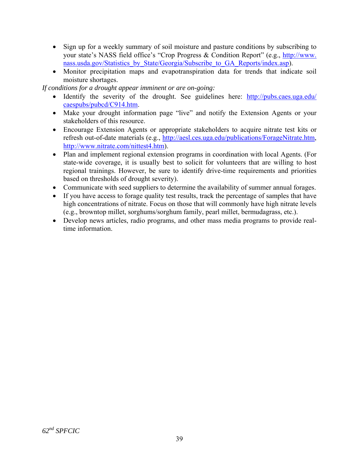- Sign up for a weekly summary of soil moisture and pasture conditions by subscribing to your state's NASS field office's "Crop Progress & Condition Report" (e.g., [http://www.](http://www.nass.usda.gov/Statistics_by_State/Georgia/Subscribe_to_GA_Reports/index.asp) [nass.usda.gov/Statistics\\_by\\_State/Georgia/Subscribe\\_to\\_GA\\_Reports/index.asp](http://www.nass.usda.gov/Statistics_by_State/Georgia/Subscribe_to_GA_Reports/index.asp)).
- Monitor precipitation maps and evapotranspiration data for trends that indicate soil moisture shortages.

*If conditions for a drought appear imminent or are on-going:* 

- Identify the severity of the drought. See guidelines here: http://pubs.caes.uga.edu/ [caespubs/pubcd/C914.htm.](http://pubs.caes.uga.edu/%20caespubs/pubcd/C914.htm)
- Make your drought information page "live" and notify the Extension Agents or your stakeholders of this resource.
- Encourage Extension Agents or appropriate stakeholders to acquire nitrate test kits or refresh out-of-date materials (e.g., [http://aesl.ces.uga.edu/publications/ForageNitrate.htm,](http://aesl.ces.uga.edu/publications/ForageNitrate.htm) <http://www.nitrate.com/nittest4.htm>).
- Plan and implement regional extension programs in coordination with local Agents. (For state-wide coverage, it is usually best to solicit for volunteers that are willing to host regional trainings. However, be sure to identify drive-time requirements and priorities based on thresholds of drought severity).
- Communicate with seed suppliers to determine the availability of summer annual forages.
- If you have access to forage quality test results, track the percentage of samples that have high concentrations of nitrate. Focus on those that will commonly have high nitrate levels (e.g., browntop millet, sorghums/sorghum family, pearl millet, bermudagrass, etc.).
- Develop news articles, radio programs, and other mass media programs to provide realtime information.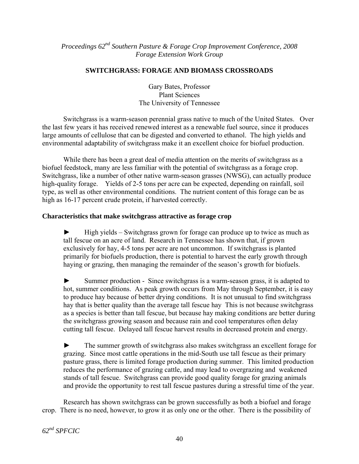*Proceedings 62nd Southern Pasture & Forage Crop Improvement Conference, 2008 Forage Extension Work Group* 

## **SWITCHGRASS: FORAGE AND BIOMASS CROSSROADS**

Gary Bates, Professor Plant Sciences The University of Tennessee

Switchgrass is a warm-season perennial grass native to much of the United States. Over the last few years it has received renewed interest as a renewable fuel source, since it produces large amounts of cellulose that can be digested and converted to ethanol. The high yields and environmental adaptability of switchgrass make it an excellent choice for biofuel production.

While there has been a great deal of media attention on the merits of switchgrass as a biofuel feedstock, many are less familiar with the potential of switchgrass as a forage crop. Switchgrass, like a number of other native warm-season grasses (NWSG), can actually produce high-quality forage. Yields of 2-5 tons per acre can be expected, depending on rainfall, soil type, as well as other environmental conditions. The nutrient content of this forage can be as high as 16-17 percent crude protein, if harvested correctly.

## **Characteristics that make switchgrass attractive as forage crop**

 $\blacktriangleright$  High yields – Switchgrass grown for forage can produce up to twice as much as tall fescue on an acre of land. Research in Tennessee has shown that, if grown exclusively for hay, 4-5 tons per acre are not uncommon. If switchgrass is planted primarily for biofuels production, there is potential to harvest the early growth through haying or grazing, then managing the remainder of the season's growth for biofuels.

► Summer production - Since switchgrass is a warm-season grass, it is adapted to hot, summer conditions. As peak growth occurs from May through September, it is easy to produce hay because of better drying conditions. It is not unusual to find switchgrass hay that is better quality than the average tall fescue hay This is not because switchgrass as a species is better than tall fescue, but because hay making conditions are better during the switchgrass growing season and because rain and cool temperatures often delay cutting tall fescue. Delayed tall fescue harvest results in decreased protein and energy.

► The summer growth of switchgrass also makes switchgrass an excellent forage for grazing. Since most cattle operations in the mid-South use tall fescue as their primary pasture grass, there is limited forage production during summer. This limited production reduces the performance of grazing cattle, and may lead to overgrazing and weakened stands of tall fescue. Switchgrass can provide good quality forage for grazing animals and provide the opportunity to rest tall fescue pastures during a stressful time of the year.

Research has shown switchgrass can be grown successfully as both a biofuel and forage crop. There is no need, however, to grow it as only one or the other. There is the possibility of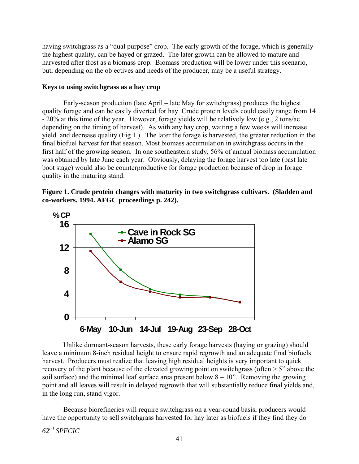having switchgrass as a "dual purpose" crop. The early growth of the forage, which is generally the highest quality, can be hayed or grazed. The later growth can be allowed to mature and harvested after frost as a biomass crop. Biomass production will be lower under this scenario, but, depending on the objectives and needs of the producer, may be a useful strategy.

### **Keys to using switchgrass as a hay crop**

Early-season production (late April – late May for switchgrass) produces the highest quality forage and can be easily diverted for hay. Crude protein levels could easily range from 14 - 20% at this time of the year. However, forage yields will be relatively low (e.g., 2 tons/ac depending on the timing of harvest). As with any hay crop, waiting a few weeks will increase yield and decrease quality (Fig 1.). The later the forage is harvested, the greater reduction in the final biofuel harvest for that season. Most biomass accumulation in switchgrass occurs in the first half of the growing season. In one southeastern study, 56% of annual biomass accumulation was obtained by late June each year. Obviously, delaying the forage harvest too late (past late boot stage) would also be counterproductive for forage production because of drop in forage quality in the maturing stand.

### **Figure 1. Crude protein changes with maturity in two switchgrass cultivars. (Sladden and co-workers. 1994. AFGC proceedings p. 242).**



Unlike dormant-season harvests, these early forage harvests (haying or grazing) should leave a minimum 8-inch residual height to ensure rapid regrowth and an adequate final biofuels harvest. Producers must realize that leaving high residual heights is very important to quick recovery of the plant because of the elevated growing point on switchgrass (often  $> 5$ " above the soil surface) and the minimal leaf surface area present below  $8 - 10$ ". Removing the growing point and all leaves will result in delayed regrowth that will substantially reduce final yields and, in the long run, stand vigor.

Because biorefineries will require switchgrass on a year-round basis, producers would have the opportunity to sell switchgrass harvested for hay later as biofuels if they find they do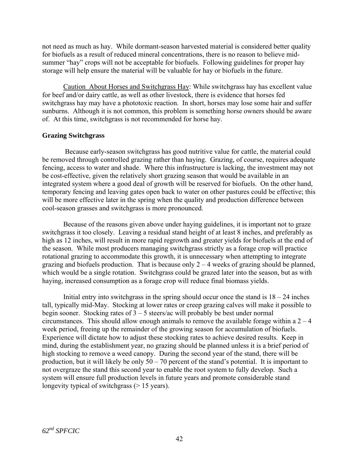not need as much as hay. While dormant-season harvested material is considered better quality for biofuels as a result of reduced mineral concentrations, there is no reason to believe midsummer "hay" crops will not be acceptable for biofuels. Following guidelines for proper hay storage will help ensure the material will be valuable for hay or biofuels in the future.

Caution About Horses and Switchgrass Hay: While switchgrass hay has excellent value for beef and/or dairy cattle, as well as other livestock, there is evidence that horses fed switchgrass hay may have a phototoxic reaction. In short, horses may lose some hair and suffer sunburns. Although it is not common, this problem is something horse owners should be aware of. At this time, switchgrass is not recommended for horse hay.

### **Grazing Switchgrass**

 Because early-season switchgrass has good nutritive value for cattle, the material could be removed through controlled grazing rather than haying. Grazing, of course, requires adequate fencing, access to water and shade. Where this infrastructure is lacking, the investment may not be cost-effective, given the relatively short grazing season that would be available in an integrated system where a good deal of growth will be reserved for biofuels. On the other hand, temporary fencing and leaving gates open back to water on other pastures could be effective; this will be more effective later in the spring when the quality and production difference between cool-season grasses and switchgrass is more pronounced.

Because of the reasons given above under haying guidelines, it is important not to graze switchgrass it too closely. Leaving a residual stand height of at least 8 inches, and preferably as high as 12 inches, will result in more rapid regrowth and greater yields for biofuels at the end of the season. While most producers managing switchgrass strictly as a forage crop will practice rotational grazing to accommodate this growth, it is unnecessary when attempting to integrate grazing and biofuels production. That is because only  $2 - 4$  weeks of grazing should be planned, which would be a single rotation. Switchgrass could be grazed later into the season, but as with haying, increased consumption as a forage crop will reduce final biomass yields.

Initial entry into switchgrass in the spring should occur once the stand is  $18 - 24$  inches tall, typically mid-May. Stocking at lower rates or creep grazing calves will make it possible to begin sooner. Stocking rates of 3 – 5 steers/ac will probably be best under normal circumstances. This should allow enough animals to remove the available forage within a  $2 - 4$ week period, freeing up the remainder of the growing season for accumulation of biofuels. Experience will dictate how to adjust these stocking rates to achieve desired results. Keep in mind, during the establishment year, no grazing should be planned unless it is a brief period of high stocking to remove a weed canopy. During the second year of the stand, there will be production, but it will likely be only  $50 - 70$  percent of the stand's potential. It is important to not overgraze the stand this second year to enable the root system to fully develop. Such a system will ensure full production levels in future years and promote considerable stand longevity typical of switchgrass ( $> 15$  years).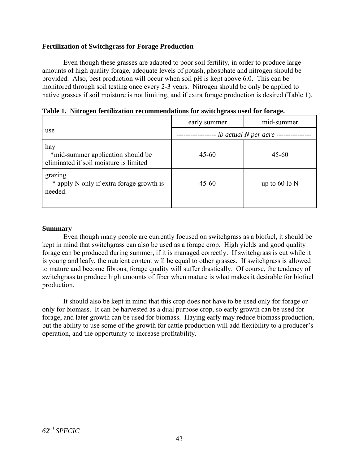### **Fertilization of Switchgrass for Forage Production**

Even though these grasses are adapted to poor soil fertility, in order to produce large amounts of high quality forage, adequate levels of potash, phosphate and nitrogen should be provided. Also, best production will occur when soil pH is kept above 6.0. This can be monitored through soil testing once every 2-3 years. Nitrogen should be only be applied to native grasses if soil moisture is not limiting, and if extra forage production is desired (Table 1).

|                                                                                    | early summer               | mid-summer      |  |  |
|------------------------------------------------------------------------------------|----------------------------|-----------------|--|--|
| use                                                                                | -- lb actual N per acre -- |                 |  |  |
| hay<br>*mid-summer application should be<br>eliminated if soil moisture is limited | $45 - 60$                  | $45 - 60$       |  |  |
| grazing<br>* apply N only if extra forage growth is<br>needed.                     | $45 - 60$                  | up to $60 lb$ N |  |  |
|                                                                                    |                            |                 |  |  |

**Table 1. Nitrogen fertilization recommendations for switchgrass used for forage.** 

### **Summary**

 Even though many people are currently focused on switchgrass as a biofuel, it should be kept in mind that switchgrass can also be used as a forage crop. High yields and good quality forage can be produced during summer, if it is managed correctly. If switchgrass is cut while it is young and leafy, the nutrient content will be equal to other grasses. If switchgrass is allowed to mature and become fibrous, forage quality will suffer drastically. Of course, the tendency of switchgrass to produce high amounts of fiber when mature is what makes it desirable for biofuel production.

It should also be kept in mind that this crop does not have to be used only for forage or only for biomass. It can be harvested as a dual purpose crop, so early growth can be used for forage, and later growth can be used for biomass. Haying early may reduce biomass production, but the ability to use some of the growth for cattle production will add flexibility to a producer's operation, and the opportunity to increase profitability.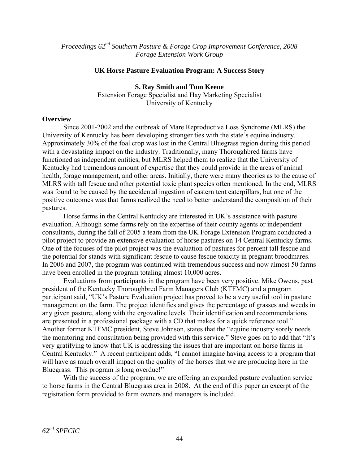*Proceedings 62nd Southern Pasture & Forage Crop Improvement Conference, 2008 Forage Extension Work Group* 

#### **UK Horse Pasture Evaluation Program: A Success Story**

**S. Ray Smith and Tom Keene**  Extension Forage Specialist and Hay Marketing Specialist University of Kentucky

#### **Overview**

 Since 2001-2002 and the outbreak of Mare Reproductive Loss Syndrome (MLRS) the University of Kentucky has been developing stronger ties with the state's equine industry. Approximately 30% of the foal crop was lost in the Central Bluegrass region during this period with a devastating impact on the industry. Traditionally, many Thoroughbred farms have functioned as independent entities, but MLRS helped them to realize that the University of Kentucky had tremendous amount of expertise that they could provide in the areas of animal health, forage management, and other areas. Initially, there were many theories as to the cause of MLRS with tall fescue and other potential toxic plant species often mentioned. In the end, MLRS was found to be caused by the accidental ingestion of eastern tent caterpillars, but one of the positive outcomes was that farms realized the need to better understand the composition of their pastures.

 Horse farms in the Central Kentucky are interested in UK's assistance with pasture evaluation. Although some farms rely on the expertise of their county agents or independent consultants, during the fall of 2005 a team from the UK Forage Extension Program conducted a pilot project to provide an extensive evaluation of horse pastures on 14 Central Kentucky farms. One of the focuses of the pilot project was the evaluation of pastures for percent tall fescue and the potential for stands with significant fescue to cause fescue toxicity in pregnant broodmares. In 2006 and 2007, the program was continued with tremendous success and now almost 50 farms have been enrolled in the program totaling almost 10,000 acres.

 Evaluations from participants in the program have been very positive. Mike Owens, past president of the Kentucky Thoroughbred Farm Managers Club (KTFMC) and a program participant said, "UK's Pasture Evaluation project has proved to be a very useful tool in pasture management on the farm. The project identifies and gives the percentage of grasses and weeds in any given pasture, along with the ergovaline levels. Their identification and recommendations are presented in a professional package with a CD that makes for a quick reference tool." Another former KTFMC president, Steve Johnson, states that the "equine industry sorely needs the monitoring and consultation being provided with this service." Steve goes on to add that "It's very gratifying to know that UK is addressing the issues that are important on horse farms in Central Kentucky." A recent participant adds, "I cannot imagine having access to a program that will have as much overall impact on the quality of the horses that we are producing here in the Bluegrass. This program is long overdue!"

 With the success of the program, we are offering an expanded pasture evaluation service to horse farms in the Central Bluegrass area in 2008. At the end of this paper an excerpt of the registration form provided to farm owners and managers is included.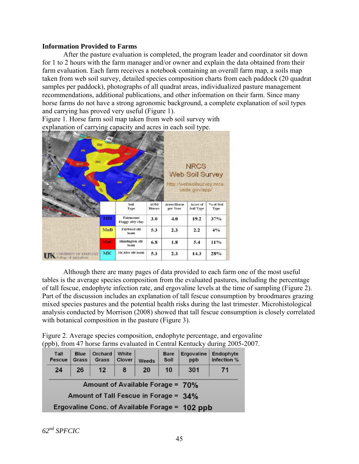#### **Information Provided to Farms**

After the pasture evaluation is completed, the program leader and coordinator sit down for 1 to 2 hours with the farm manager and/or owner and explain the data obtained from their farm evaluation. Each farm receives a notebook containing an overall farm map, a soils map taken from web soil survey, detailed species composition charts from each paddock (20 quadrat samples per paddock), photographs of all quadrat areas, individualized pasture management recommendations, additional publications, and other information on their farm. Since many horse farms do not have a strong agronomic background, a complete explanation of soil types and carrying has proved very useful (Figure 1).

Figure 1. Horse farm soil map taken from web soil survey with explanation of carrying capacity and acres in each soil type.



 Although there are many pages of data provided to each farm one of the most useful tables is the average species composition from the evaluated pastures, including the percentage of tall fescue, endophyte infection rate, and ergovaline levels at the time of sampling (Figure 2). Part of the discussion includes an explanation of tall fescue consumption by broodmares grazing mixed species pastures and the potential health risks during the last trimester. Microhistological analysis conducted by Morrison (2008) showed that tall fescue consumption is closely correlated with botanical composition in the pasture (Figure 3).

Figure 2. Average species composition, endophyte percentage, and ergovaline (ppb), from 47 horse farms evaluated in Central Kentucky during 2005-2007.

| Tall<br><b>Fescue</b>                          | <b>Blue</b><br>Grass | Orchard<br>Grass | White<br>Clover | Weeds | <b>Bare</b><br>Soil | Ergovaline<br>ppb | Endophyte<br>infection % |
|------------------------------------------------|----------------------|------------------|-----------------|-------|---------------------|-------------------|--------------------------|
| 24                                             | 26                   | 12               | 8               | 20    | 10                  | 301               | 71                       |
| Amount of Available Forage = 70%               |                      |                  |                 |       |                     |                   |                          |
| Amount of Tall Fescue in Forage = 34%          |                      |                  |                 |       |                     |                   |                          |
| Ergovaline Conc. of Available Forage = 102 ppb |                      |                  |                 |       |                     |                   |                          |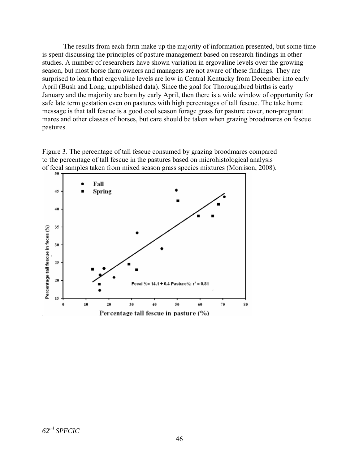The results from each farm make up the majority of information presented, but some time is spent discussing the principles of pasture management based on research findings in other studies. A number of researchers have shown variation in ergovaline levels over the growing season, but most horse farm owners and managers are not aware of these findings. They are surprised to learn that ergovaline levels are low in Central Kentucky from December into early April (Bush and Long, unpublished data). Since the goal for Thoroughbred births is early January and the majority are born by early April, then there is a wide window of opportunity for safe late term gestation even on pastures with high percentages of tall fescue. The take home message is that tall fescue is a good cool season forage grass for pasture cover, non-pregnant mares and other classes of horses, but care should be taken when grazing broodmares on fescue pastures.



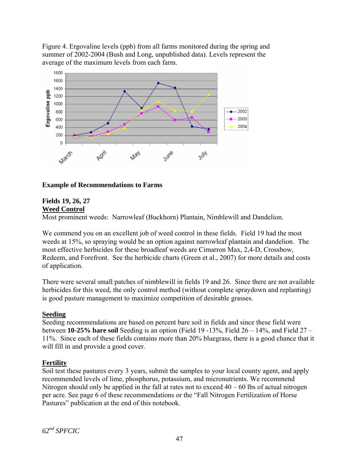Figure 4. Ergovaline levels (ppb) from all farms monitored during the spring and summer of 2002-2004 (Bush and Long, unpublished data). Levels represent the average of the maximum levels from each farm.



## **Example of Recommendations to Farms**

#### **Fields 19, 26, 27 Weed Control**

Most prominent weeds: Narrowleaf (Buckhorn) Plantain, Nimblewill and Dandelion.

We commend you on an excellent job of weed control in these fields. Field 19 had the most weeds at 15%, so spraying would be an option against narrowleaf plantain and dandelion. The most effective herbicides for these broadleaf weeds are Cimarron Max, 2,4-D, Crossbow, Redeem, and Forefront. See the herbicide charts (Green et al., 2007) for more details and costs of application.

There were several small patches of nimblewill in fields 19 and 26. Since there are not available herbicides for this weed, the only control method (without complete spraydown and replanting) is good pasture management to maximize competition of desirable grasses.

## **Seeding**

Seeding recommendations are based on percent bare soil in fields and since these field were between **10-25% bare soil** Seeding is an option (Field 19 -13%, Field 26 – 14%, and Field 27 – 11%. Since each of these fields contains more than 20% bluegrass, there is a good chance that it will fill in and provide a good cover.

## **Fertility**

Soil test these pastures every 3 years, submit the samples to your local county agent, and apply recommended levels of lime, phosphorus, potassium, and micronutrients. We recommend Nitrogen should only be applied in the fall at rates not to exceed  $40 - 60$  lbs of actual nitrogen per acre. See page 6 of these recommendations or the "Fall Nitrogen Fertilization of Horse Pastures" publication at the end of this notebook.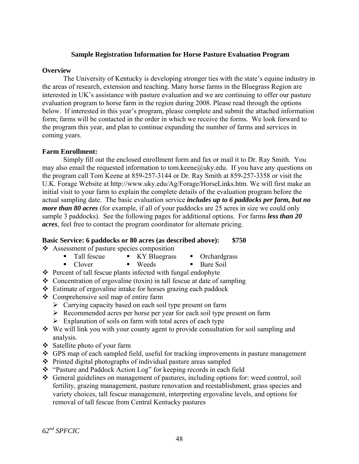### **Sample Registration Information for Horse Pasture Evaluation Program**

#### **Overview**

 The University of Kentucky is developing stronger ties with the state's equine industry in the areas of research, extension and teaching. Many horse farms in the Bluegrass Region are interested in UK's assistance with pasture evaluation and we are continuing to offer our pasture evaluation program to horse farm in the region during 2008. Please read through the options below. If interested in this year's program, please complete and submit the attached information form; farms will be contacted in the order in which we receive the forms. We look forward to the program this year, and plan to continue expanding the number of farms and services in coming years.

### **Farm Enrollment:**

 Simply fill out the enclosed enrollment form and fax or mail it to Dr. Ray Smith. You may also email the requested information to tom.keene@uky.edu. If you have any questions on the program call Tom Keene at 859-257-3144 or Dr. Ray Smith at 859-257-3358 or visit the U.K. Forage Website at http://www.uky.edu/Ag/Forage/HorseLinks.htm. We will first make an initial visit to your farm to explain the complete details of the evaluation program before the actual sampling date. The basic evaluation service *includes up to 6 paddocks per farm, but no more than 80 acres* (for example, if all of your paddocks are 25 acres in size we could only sample 3 paddocks). See the following pages for additional options. For farms *less than 20 acres*, feel free to contact the program coordinator for alternate pricing.

#### **Basic Service: 6 paddocks or 80 acres (as described above): \$750**

- Assessment of pasture species composition
	- Tall fescue KY Bluegrass Orchardgrass
		-
	- Clover Weeds Bare Soil
- 
- $\triangle$  Percent of tall fescue plants infected with fungal endophyte
- $\triangle$  Concentration of ergovaline (toxin) in tall fescue at date of sampling
- Estimate of ergovaline intake for horses grazing each paddock
- Comprehensive soil map of entire farm
	- $\triangleright$  Carrying capacity based on each soil type present on farm
	- $\triangleright$  Recommended acres per horse per year for each soil type present on farm
	- $\triangleright$  Explanation of soils on farm with total acres of each type
- We will link you with your county agent to provide consultation for soil sampling and analysis.
- Satellite photo of your farm
- GPS map of each sampled field, useful for tracking improvements in pasture management
- $\triangle$  Printed digital photographs of individual pasture areas sampled
- \* "Pasture and Paddock Action Log" for keeping records in each field
- General guidelines on management of pastures, including options for: weed control, soil fertility, grazing management, pasture renovation and reestablishment, grass species and variety choices, tall fescue management, interpreting ergovaline levels, and options for removal of tall fescue from Central Kentucky pastures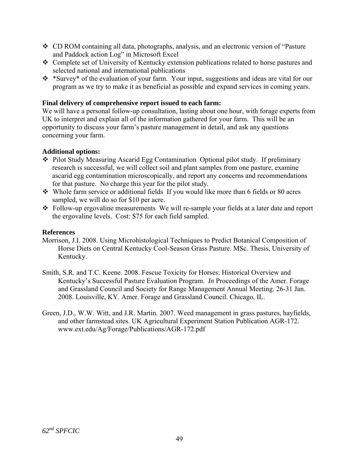- CD ROM containing all data, photographs, analysis, and an electronic version of "Pasture and Paddock action Log" in Microsoft Excel
- Complete set of University of Kentucky extension publications related to horse pastures and selected national and international publications
- \*Survey\* of the evaluation of your farm. Your input, suggestions and ideas are vital for our program as we try to make it as beneficial as possible and expand services in coming years.

## **Final delivery of comprehensive report issued to each farm:**

We will have a personal follow-up consultation, lasting about one hour, with forage experts from UK to interpret and explain all of the information gathered for your farm. This will be an opportunity to discuss your farm's pasture management in detail, and ask any questions concerning your farm.

## **Additional options:**

- Pilot Study Measuring Ascarid Egg Contamination Optional pilot study. If preliminary research is successful, we will collect soil and plant samples from one pasture, examine ascarid egg contamination microscopically, and report any concerns and recommendations for that pasture. No charge this year for the pilot study.
- Whole farm service or additional fields If you would like more than 6 fields or 80 acres sampled, we will do so for \$10 per acre.
- Follow-up ergovaline measurements We will re-sample your fields at a later date and report the ergovaline levels. Cost: \$75 for each field sampled.

## **References**

- Morrison, J.I. 2008. Using Microhistological Techniques to Predict Botanical Composition of Horse Diets on Central Kentucky Cool-Season Grass Pasture. MSc. Thesis, University of Kentucky.
- Smith, S.R. and T.C. Keene. 2008. Fescue Toxicity for Horses: Historical Overview and Kentucky's Successful Pasture Evaluation Program. *In* Proceedings of the Amer. Forage and Grassland Council and Society for Range Management Annual Meeting. 26-31 Jan. 2008. Louisville, KY. Amer. Forage and Grassland Council. Chicago, IL.
- Green, J.D., W.W. Witt, and J.R. Martin. 2007. Weed management in grass pastures, hayfields, and other farmstead sites. UK Agricultural Experiment Station Publication AGR-172. www.ext.edu/Ag/Forage/Publications/AGR-172.pdf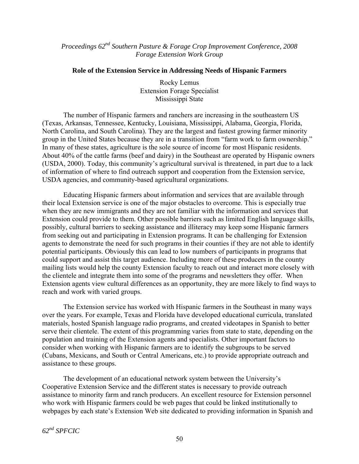*Proceedings 62nd Southern Pasture & Forage Crop Improvement Conference, 2008 Forage Extension Work Group* 

#### **Role of the Extension Service in Addressing Needs of Hispanic Farmers**

Rocky Lemus Extension Forage Specialist Mississippi State

The number of Hispanic farmers and ranchers are increasing in the southeastern US (Texas, Arkansas, Tennessee, Kentucky, Louisiana, Mississippi, Alabama, Georgia, Florida, North Carolina, and South Carolina). They are the largest and fastest growing farmer minority group in the United States because they are in a transition from "farm work to farm ownership." In many of these states, agriculture is the sole source of income for most Hispanic residents. About 40% of the cattle farms (beef and dairy) in the Southeast are operated by Hispanic owners (USDA, 2000). Today, this community's agricultural survival is threatened, in part due to a lack of information of where to find outreach support and cooperation from the Extension service, USDA agencies, and community-based agricultural organizations.

Educating Hispanic farmers about information and services that are available through their local Extension service is one of the major obstacles to overcome. This is especially true when they are new immigrants and they are not familiar with the information and services that Extension could provide to them. Other possible barriers such as limited English language skills, possibly, cultural barriers to seeking assistance and illiteracy may keep some Hispanic farmers from seeking out and participating in Extension programs. It can be challenging for Extension agents to demonstrate the need for such programs in their counties if they are not able to identify potential participants. Obviously this can lead to low numbers of participants in programs that could support and assist this target audience. Including more of these producers in the county mailing lists would help the county Extension faculty to reach out and interact more closely with the clientele and integrate them into some of the programs and newsletters they offer. When Extension agents view cultural differences as an opportunity, they are more likely to find ways to reach and work with varied groups.

The Extension service has worked with Hispanic farmers in the Southeast in many ways over the years. For example, Texas and Florida have developed educational curricula, translated materials, hosted Spanish language radio programs, and created videotapes in Spanish to better serve their clientele. The extent of this programming varies from state to state, depending on the population and training of the Extension agents and specialists. Other important factors to consider when working with Hispanic farmers are to identify the subgroups to be served (Cubans, Mexicans, and South or Central Americans, etc.) to provide appropriate outreach and assistance to these groups.

The development of an educational network system between the University's Cooperative Extension Service and the different states is necessary to provide outreach assistance to minority farm and ranch producers. An excellent resource for Extension personnel who work with Hispanic farmers could be web pages that could be linked institutionally to webpages by each state's Extension Web site dedicated to providing information in Spanish and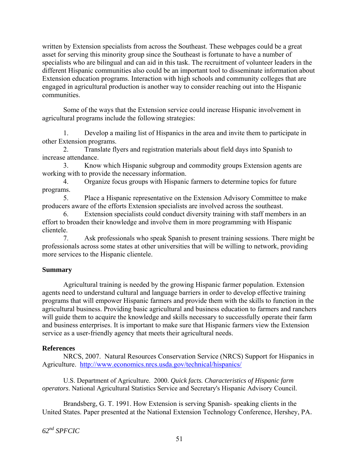written by Extension specialists from across the Southeast. These webpages could be a great asset for serving this minority group since the Southeast is fortunate to have a number of specialists who are bilingual and can aid in this task. The recruitment of volunteer leaders in the different Hispanic communities also could be an important tool to disseminate information about Extension education programs. Interaction with high schools and community colleges that are engaged in agricultural production is another way to consider reaching out into the Hispanic communities.

Some of the ways that the Extension service could increase Hispanic involvement in agricultural programs include the following strategies:

1. Develop a mailing list of Hispanics in the area and invite them to participate in other Extension programs.

2. Translate flyers and registration materials about field days into Spanish to increase attendance.

3. Know which Hispanic subgroup and commodity groups Extension agents are working with to provide the necessary information.

4. Organize focus groups with Hispanic farmers to determine topics for future programs.

5. Place a Hispanic representative on the Extension Advisory Committee to make producers aware of the efforts Extension specialists are involved across the southeast.

6. Extension specialists could conduct diversity training with staff members in an effort to broaden their knowledge and involve them in more programming with Hispanic clientele.

7. Ask professionals who speak Spanish to present training sessions. There might be professionals across some states at other universities that will be willing to network, providing more services to the Hispanic clientele.

## **Summary**

Agricultural training is needed by the growing Hispanic farmer population. Extension agents need to understand cultural and language barriers in order to develop effective training programs that will empower Hispanic farmers and provide them with the skills to function in the agricultural business. Providing basic agricultural and business education to farmers and ranchers will guide them to acquire the knowledge and skills necessary to successfully operate their farm and business enterprises. It is important to make sure that Hispanic farmers view the Extension service as a user-friendly agency that meets their agricultural needs.

## **References**

NRCS, 2007. Natural Resources Conservation Service (NRCS) Support for Hispanics in Agriculture. <http://www.economics.nrcs.usda.gov/technical/hispanics/>

U.S. Department of Agriculture. 2000. *Quick facts. Characteristics of Hispanic farm operators*. National Agricultural Statistics Service and Secretary's Hispanic Advisory Council.

Brandsberg, G. T. 1991. How Extension is serving Spanish- speaking clients in the United States. Paper presented at the National Extension Technology Conference, Hershey, PA.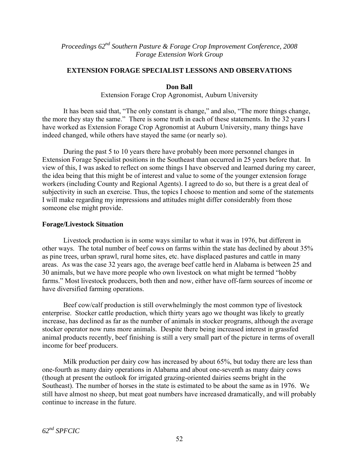*Proceedings 62nd Southern Pasture & Forage Crop Improvement Conference, 2008 Forage Extension Work Group* 

### **EXTENSION FORAGE SPECIALIST LESSONS AND OBSERVATIONS**

#### **Don Ball**

Extension Forage Crop Agronomist, Auburn University

It has been said that, "The only constant is change," and also, "The more things change, the more they stay the same." There is some truth in each of these statements. In the 32 years I have worked as Extension Forage Crop Agronomist at Auburn University, many things have indeed changed, while others have stayed the same (or nearly so).

During the past 5 to 10 years there have probably been more personnel changes in Extension Forage Specialist positions in the Southeast than occurred in 25 years before that. In view of this, I was asked to reflect on some things I have observed and learned during my career, the idea being that this might be of interest and value to some of the younger extension forage workers (including County and Regional Agents). I agreed to do so, but there is a great deal of subjectivity in such an exercise. Thus, the topics I choose to mention and some of the statements I will make regarding my impressions and attitudes might differ considerably from those someone else might provide.

#### **Forage/Livestock Situation**

 Livestock production is in some ways similar to what it was in 1976, but different in other ways. The total number of beef cows on farms within the state has declined by about 35% as pine trees, urban sprawl, rural home sites, etc. have displaced pastures and cattle in many areas. As was the case 32 years ago, the average beef cattle herd in Alabama is between 25 and 30 animals, but we have more people who own livestock on what might be termed "hobby farms." Most livestock producers, both then and now, either have off-farm sources of income or have diversified farming operations.

Beef cow/calf production is still overwhelmingly the most common type of livestock enterprise. Stocker cattle production, which thirty years ago we thought was likely to greatly increase, has declined as far as the number of animals in stocker programs, although the average stocker operator now runs more animals. Despite there being increased interest in grassfed animal products recently, beef finishing is still a very small part of the picture in terms of overall income for beef producers.

Milk production per dairy cow has increased by about 65%, but today there are less than one-fourth as many dairy operations in Alabama and about one-seventh as many dairy cows (though at present the outlook for irrigated grazing-oriented dairies seems bright in the Southeast). The number of horses in the state is estimated to be about the same as in 1976. We still have almost no sheep, but meat goat numbers have increased dramatically, and will probably continue to increase in the future.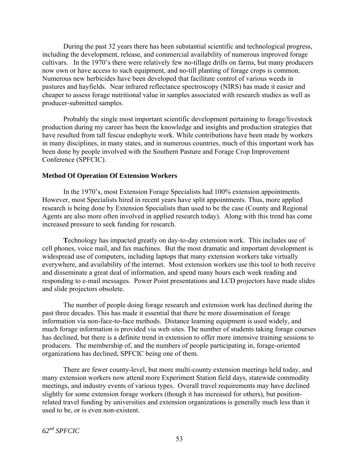During the past 32 years there has been substantial scientific and technological progress, including the development, release, and commercial availability of numerous improved forage cultivars. In the 1970's there were relatively few no-tillage drills on farms, but many producers now own or have access to such equipment, and no-till planting of forage crops is common. Numerous new herbicides have been developed that facilitate control of various weeds in pastures and hayfields. Near infrared reflectance spectroscopy (NIRS) has made it easier and cheaper to assess forage nutritional value in samples associated with research studies as well as producer-submitted samples.

Probably the single most important scientific development pertaining to forage/livestock production during my career has been the knowledge and insights and production strategies that have resulted from tall fescue endophyte work. While contributions have been made by workers in many disciplines, in many states, and in numerous countries, much of this important work has been done by people involved with the Southern Pasture and Forage Crop Improvement Conference (SPFCIC).

#### **Method Of Operation Of Extension Workers**

In the 1970's, most Extension Forage Specialists had 100% extension appointments. However, most Specialists hired in recent years have split appointments. Thus, more applied research is being done by Extension Specialists than used to be the case (County and Regional Agents are also more often involved in applied research today). Along with this trend has come increased pressure to seek funding for research.

 **T**echnology has impacted greatly on day-to-day extension work. This includes use of cell phones, voice mail, and fax machines. But the most dramatic and important development is widespread use of computers, including laptops that many extension workers take virtually everywhere, and availability of the internet. Most extension workers use this tool to both receive and disseminate a great deal of information, and spend many hours each week reading and responding to e-mail messages. Power Point presentations and LCD projectors have made slides and slide projectors obsolete.

The number of people doing forage research and extension work has declined during the past three decades. This has made it essential that there be more dissemination of forage information via non-face-to-face methods. Distance learning equipment is used widely, and much forage information is provided via web sites. The number of students taking forage courses has declined, but there is a definite trend in extension to offer more intensive training sessions to producers. The membership of, and the numbers of people participating in, forage-oriented organizations has declined, SPFCIC being one of them.

 There are fewer county-level, but more multi-county extension meetings held today, and many extension workers now attend more Experiment Station field days, statewide commodity meetings, and industry events of various types. Overall travel requirements may have declined slightly for some extension forage workers (though it has increased for others), but positionrelated travel funding by universities and extension organizations is generally much less than it used to be, or is even non-existent.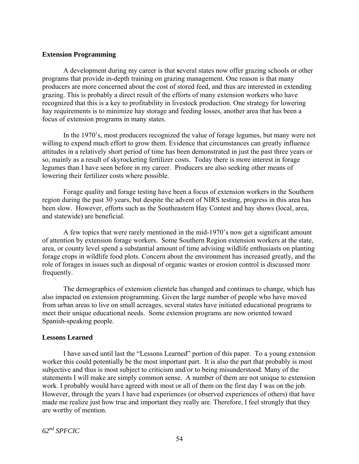#### **Extension Programming**

 A development during my career is that **s**everal states now offer grazing schools or other programs that provide in-depth training on grazing management. One reason is that many producers are more concerned about the cost of stored feed, and thus are interested in extending grazing. This is probably a direct result of the efforts of many extension workers who have recognized that this is a key to profitability in livestock production. One strategy for lowering hay requirements is to minimize hay storage and feeding losses, another area that has been a focus of extension programs in many states.

 In the 1970's, most producers recognized the value of forage legumes, but many were not willing to expend much effort to grow them. Evidence that circumstances can greatly influence attitudes in a relatively short period of time has been demonstrated in just the past three years or so, mainly as a result of skyrocketing fertilizer costs. Today there is more interest in forage legumes than I have seen before in my career. Producers are also seeking other means of lowering their fertilizer costs where possible.

Forage quality and forage testing have been a focus of extension workers in the Southern region during the past 30 years, but despite the advent of NIRS testing, progress in this area has been slow. However, efforts such as the Southeastern Hay Contest and hay shows (local, area, and statewide) are beneficial.

A few topics that were rarely mentioned in the mid-1970's now get a significant amount of attention by extension forage workers. Some Southern Region extension workers at the state, area, or county level spend a substantial amount of time advising wildlife enthusiasts on planting forage crops in wildlife food plots. Concern about the environment has increased greatly, and the role of forages in issues such as disposal of organic wastes or erosion control is discussed more frequently.

The demographics of extension clientele has changed and continues to change, which has also impacted on extension programming. Given the large number of people who have moved from urban areas to live on small acreages, several states have initiated educational programs to meet their unique educational needs. Some extension programs are now oriented toward Spanish-speaking people.

#### **Lessons Learned**

I have saved until last the "Lessons Learned" portion of this paper. To a young extension worker this could potentially be the most important part. It is also the part that probably is most subjective and thus is most subject to criticism and/or to being misunderstood. Many of the statements I will make are simply common sense. A number of them are not unique to extension work. I probably would have agreed with most or all of them on the first day I was on the job. However, through the years I have had experiences (or observed experiences of others) that have made me realize just how true and important they really are. Therefore, I feel strongly that they are worthy of mention.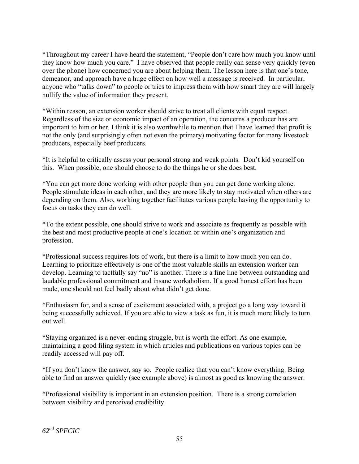\*Throughout my career I have heard the statement, "People don't care how much you know until they know how much you care." I have observed that people really can sense very quickly (even over the phone) how concerned you are about helping them. The lesson here is that one's tone, demeanor, and approach have a huge effect on how well a message is received. In particular, anyone who "talks down" to people or tries to impress them with how smart they are will largely nullify the value of information they present.

\*Within reason, an extension worker should strive to treat all clients with equal respect. Regardless of the size or economic impact of an operation, the concerns a producer has are important to him or her. I think it is also worthwhile to mention that I have learned that profit is not the only (and surprisingly often not even the primary) motivating factor for many livestock producers, especially beef producers.

\*It is helpful to critically assess your personal strong and weak points. Don't kid yourself on this. When possible, one should choose to do the things he or she does best.

\*You can get more done working with other people than you can get done working alone. People stimulate ideas in each other, and they are more likely to stay motivated when others are depending on them. Also, working together facilitates various people having the opportunity to focus on tasks they can do well.

\*To the extent possible, one should strive to work and associate as frequently as possible with the best and most productive people at one's location or within one's organization and profession.

\*Professional success requires lots of work, but there is a limit to how much you can do. Learning to prioritize effectively is one of the most valuable skills an extension worker can develop. Learning to tactfully say "no" is another. There is a fine line between outstanding and laudable professional commitment and insane workaholism. If a good honest effort has been made, one should not feel badly about what didn't get done.

\*Enthusiasm for, and a sense of excitement associated with, a project go a long way toward it being successfully achieved. If you are able to view a task as fun, it is much more likely to turn out well.

\*Staying organized is a never-ending struggle, but is worth the effort. As one example, maintaining a good filing system in which articles and publications on various topics can be readily accessed will pay off.

\*If you don't know the answer, say so. People realize that you can't know everything. Being able to find an answer quickly (see example above) is almost as good as knowing the answer.

\*Professional visibility is important in an extension position. There is a strong correlation between visibility and perceived credibility.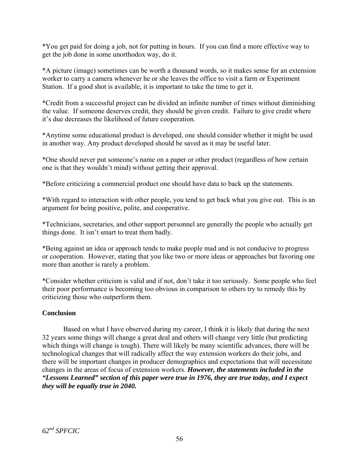\*You get paid for doing a job, not for putting in hours. If you can find a more effective way to get the job done in some unorthodox way, do it.

\*A picture (image) sometimes can be worth a thousand words, so it makes sense for an extension worker to carry a camera whenever he or she leaves the office to visit a farm or Experiment Station. If a good shot is available, it is important to take the time to get it.

\*Credit from a successful project can be divided an infinite number of times without diminishing the value. If someone deserves credit, they should be given credit. Failure to give credit where it's due decreases the likelihood of future cooperation.

\*Anytime some educational product is developed, one should consider whether it might be used in another way. Any product developed should be saved as it may be useful later.

\*One should never put someone's name on a paper or other product (regardless of how certain one is that they wouldn't mind) without getting their approval.

\*Before criticizing a commercial product one should have data to back up the statements.

\*With regard to interaction with other people, you tend to get back what you give out. This is an argument for being positive, polite, and cooperative.

\*Technicians, secretaries, and other support personnel are generally the people who actually get things done. It isn't smart to treat them badly.

\*Being against an idea or approach tends to make people mad and is not conducive to progress or cooperation. However, stating that you like two or more ideas or approaches but favoring one more than another is rarely a problem.

\*Consider whether criticism is valid and if not, don't take it too seriously. Some people who feel their poor performance is becoming too obvious in comparison to others try to remedy this by criticizing those who outperform them.

# **Conclusion**

 Based on what I have observed during my career, I think it is likely that during the next 32 years some things will change a great deal and others will change very little (but predicting which things will change is tough). There will likely be many scientific advances, there will be technological changes that will radically affect the way extension workers do their jobs, and there will be important changes in producer demographics and expectations that will necessitate changes in the areas of focus of extension workers. *However, the statements included in the "Lessons Learned" section of this paper were true in 1976, they are true today, and I expect they will be equally true in 2040.*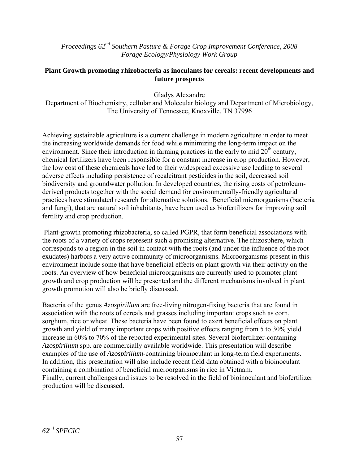*Proceedings 62nd Southern Pasture & Forage Crop Improvement Conference, 2008 Forage Ecology/Physiology Work Group* 

#### **Plant Growth promoting rhizobacteria as inoculants for cereals: recent developments and future prospects**

Gladys Alexandre

Department of Biochemistry, cellular and Molecular biology and Department of Microbiology, The University of Tennessee, Knoxville, TN 37996

Achieving sustainable agriculture is a current challenge in modern agriculture in order to meet the increasing worldwide demands for food while minimizing the long-term impact on the environment. Since their introduction in farming practices in the early to mid  $20<sup>th</sup>$  century, chemical fertilizers have been responsible for a constant increase in crop production. However, the low cost of these chemicals have led to their widespread excessive use leading to several adverse effects including persistence of recalcitrant pesticides in the soil, decreased soil biodiversity and groundwater pollution. In developed countries, the rising costs of petroleumderived products together with the social demand for environmentally-friendly agricultural practices have stimulated research for alternative solutions. Beneficial microorganisms (bacteria and fungi), that are natural soil inhabitants, have been used as biofertilizers for improving soil fertility and crop production.

 Plant-growth promoting rhizobacteria, so called PGPR, that form beneficial associations with the roots of a variety of crops represent such a promising alternative. The rhizosphere, which corresponds to a region in the soil in contact with the roots (and under the influence of the root exudates) harbors a very active community of microorganisms. Microorganisms present in this environment include some that have beneficial effects on plant growth via their activity on the roots. An overview of how beneficial microorganisms are currently used to promoter plant growth and crop production will be presented and the different mechanisms involved in plant growth promotion will also be briefly discussed.

Bacteria of the genus *Azospirillum* are free-living nitrogen-fixing bacteria that are found in association with the roots of cereals and grasses including important crops such as corn, sorghum, rice or wheat. These bacteria have been found to exert beneficial effects on plant growth and yield of many important crops with positive effects ranging from 5 to 30% yield increase in 60% to 70% of the reported experimental sites. Several biofertilizer-containing *Azospirillum* spp. are commercially available worldwide. This presentation will describe examples of the use of *Azospirillum*-containing bioinoculant in long-term field experiments. In addition, this presentation will also include recent field data obtained with a bioinoculant containing a combination of beneficial microorganisms in rice in Vietnam. Finally, current challenges and issues to be resolved in the field of bioinoculant and biofertilizer production will be discussed.